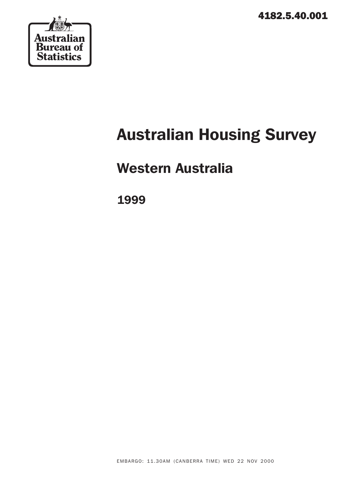4182.5.40.001



# Australian Housing Survey

# Western Australia

1999

EMBARGO: 11.30AM (CANBERRA TIME) WED 22 NOV 2000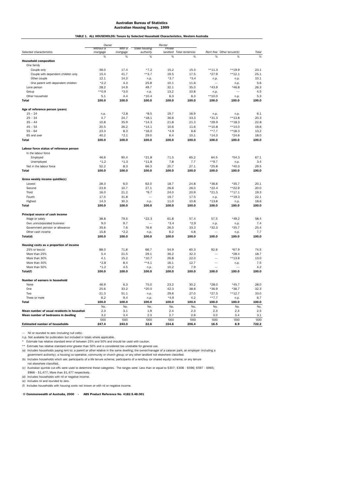|                                             | Owner                 |                    |                            | Renter       |                           |          |                           |             |
|---------------------------------------------|-----------------------|--------------------|----------------------------|--------------|---------------------------|----------|---------------------------|-------------|
| Selected characteristics                    | Without a<br>mortgage | With a<br>mortgage | State housing<br>authority | Private      | landlord Total renters(a) |          | Rent free Other tenure(b) | Total       |
|                                             | %                     | %                  | %                          | %            | %                         | %        | %                         | %           |
| <b>Household composition</b>                |                       |                    |                            |              |                           |          |                           |             |
| One family                                  |                       |                    |                            |              |                           |          |                           |             |
| Couple only                                 | 36.0                  | 17.4               | $*7.2$                     | 15.2         | 15.3                      | $**11.3$ | $**19.9$                  | 23.1        |
| Couple with dependent children only         | 15.4                  | 41.7               | $**3.7$                    | 19.5         | 17.5                      | $*27.9$  | $**12.1$                  | 25.1        |
| Other couple                                | 12.1                  | 14.3               | n.p.                       | $*3.7$       | $*3.4$                    | n.p.     | n.p.                      | 10.1        |
| One parent with dependent children          | $*2.2$                | 4.3                | 25.8                       | 10.1         | 11.6                      |          | n.p.                      | 5.6         |
| Lone person                                 | 28.2                  | 14.9               | 49.7                       | 32.1         | 35.0                      | $*43.9$  | $*46.8$                   | 26.3        |
| Group                                       | $**0.9$               | $*3.0$             | n.p.                       | 13.2         | 10.8                      | n.p.     |                           | 4.5         |
| Other household                             | 5.1                   | 4.4                | $*10.4$                    | 6.3          | 6.3                       | $**10.0$ | n.p.                      | 5.3         |
| <b>Total</b>                                | 100.0                 | 100.0              | 100.0                      | 100.0        | 100.0                     | 100.0    | 100.0                     | 100.0       |
|                                             |                       |                    |                            |              |                           |          |                           |             |
| Age of reference person (years)             |                       |                    |                            |              |                           |          |                           |             |
| $15 - 24$                                   | n.p.                  | $*2.8$             | $*8.5$                     | 19.7         | 16.9                      | n.p.     | n.p.                      | 6.1         |
| $25 - 34$                                   | 4.7                   | 24.7               | $*18.1$                    | 36.6         | 33.3                      | $*31.3$  | $**13.8$                  | 20.3        |
| $35 - 44$                                   | 10.8                  | 35.9               | $*14.3$                    | 21.8         | 21.3                      | $*29.9$  | $**18.3$                  | 22.8        |
| $45 - 54$                                   | 20.5                  | 26.2               | $*14.1$                    | 10.6         | 11.6                      | $**10.8$ | $**14.0$                  | 19.6        |
| $55 - 64$                                   | 23.3                  | 8.3                | $*16.0$                    | $*4.9$       | 6.8                       | $***7.7$ | $**18.3$                  | 13.2        |
| 65 and over                                 | 40.2                  | $*2.1$             | 29.0                       | 6.4          | 10.1                      | $*14.3$  | $*24.6$                   | 18.0        |
| <b>Total</b>                                | 100.0                 | 100.0              | 100.0                      | 100.0        | 100.0                     | 100.0    | 100.0                     | 100.0       |
| Labour force status of reference person     |                       |                    |                            |              |                           |          |                           |             |
| In the labour force                         |                       |                    |                            |              |                           |          |                           |             |
| Employed                                    | 46.6                  | 90.4               | $*21.8$                    | 71.5         | 65.2                      | 64.5     | $*54.3$                   | 67.1        |
| Unemployed                                  | $*1.2$                | $*1.3$             | $*11.8$                    | 7.8          | 7.7                       | $**9.7$  | n.p.                      | 3.4         |
| Not in the labour force                     | 52.2                  | 8.3                | 66.3                       | 20.7         | 27.1                      | $*25.8$  | $*40.3$                   | 29.5        |
| <b>Total</b>                                | 100.0                 | 100.0              | 100.0                      | 100.0        | 100.0                     | 100.0    | 100.0                     | 100.0       |
|                                             |                       |                    |                            |              |                           |          |                           |             |
| Gross weekly income quintile(c)             |                       |                    |                            |              |                           |          |                           |             |
| <b>Lowest</b>                               | 28.3                  | 6.0                | 62.0                       | 18.7         | 24.8                      | $*36.6$  | $*35.7$                   | 20.1        |
| Second                                      | 23.9                  | 10.7               | 27.1                       | 26.6         | 26.0                      | $*22.4$  | **22.9                    | 20.0        |
| Third                                       | 16.0                  | 21.2               | $*9.7$                     | 24.0         | 20.9                      | $*21.5$  | $**17.1$                  | 19.3        |
| Fourth                                      | 17.5                  | 31.8               |                            | 19.7         | 17.5                      | n.p.     | $**19.3$                  | 22.1        |
| Highest                                     | 14.3                  | 30.3               | n.p.                       | 11.0         | 10.8                      | $*13.8$  | n.p.                      | 18.6        |
| <b>Total</b>                                | 100.0                 | 100.0              | 100.0                      | 100.0        | 100.0                     | 100.0    | 100.0                     | 100.0       |
| Principal source of cash income             |                       |                    |                            |              |                           |          |                           |             |
| Wage or salary                              | 38.8                  | 79.5               | $*22.3$                    | 61.8         | 57.4                      | 57.5     | $*49.2$                   | 58.4        |
| Own unincorporated business                 | 9.0                   | 9.7                |                            | $*3.4$       | $*2.9$                    | n.p.     | n.p.                      | 7.4         |
| Government pension or allowance             | 35.6                  | 7.6                | 76.6                       | 26.5         | 33.3                      | $*32.3$  | $*35.7$                   | 25.4        |
| Other cash income                           | 15.8                  | $*2.2$             | n.p.                       | 6.2          | 4.8                       |          | n.p.                      | 7.7         |
| Total(d)                                    | 100.0                 | 100.0              | 100.0                      | 100.0        | 100.0                     | 100.0    | 100.0                     | 100.0       |
|                                             |                       |                    |                            |              |                           |          |                           |             |
| Housing costs as a proportion of income     | 88.0                  | 71.8               | 66.7                       | 54.9         | 60.3                      |          | $*67.9$                   | 74.5        |
| 25% or less(e)<br>More than 25%             | 5.4                   | 21.5               | 29.1                       | 36.2         | 32.3                      | 92.6     | $*28.4$                   | 18.7        |
|                                             |                       |                    |                            |              |                           |          |                           |             |
| More than 30%<br>More than 40%              | 4.1<br>$*2.8$         | 15.2<br>8.4        | $*10.7$<br>$**4.1$         | 26.8<br>16.1 | 22.0<br>12.7              |          | $**13.6$                  | 13.0<br>7.5 |
|                                             |                       |                    |                            |              |                           |          | n.p.                      |             |
| More than 50%                               | $*1.2$                | 4.5                | n.p.                       | 10.2         | 7.9                       |          |                           | 4.2         |
| Total(f)                                    | 100.0                 | 100.0              | 100.0                      | 100.0        | 100.0                     | 100.0    | 100.0                     | 100.0       |
| Number of earners in household              |                       |                    |                            |              |                           |          |                           |             |
| None                                        | 46.9                  | 6.3                | 75.0                       | 23.2         | 30.2                      | $*28.0$  | $*45.7$                   | 28.0        |
| One                                         | 25.6                  | 33.2               | $*20.0$                    | 42.3         | 38.6                      | $*36.9$  | $*36.7$                   | 32.3        |
| Two                                         | 21.3                  | 51.1               | n.p.                       | 29.6         | 27.0                      | $*27.5$  | $**12.7$                  | 33.0        |
| Three or more                               | 6.2                   | 9.4                | n.p.                       | $*4.9$       | 4.2                       | $***7.7$ | n.p.                      | 6.7         |
| <b>Total</b>                                | 100.0                 | 100.0              | 100.0                      | 100.0        | 100.0                     | 100.0    | 100.0                     | 100.0       |
|                                             | No.                   | No.                | No.                        | No.          | No.                       | No.      | No.                       | No.         |
| Mean number of usual residents in household | 2.3                   | 3.1                | 1.9                        | 2.4          | 2.3                       | 2.3      | 2.3                       | 2.5         |
| Mean number of bedrooms in dwelling         | 3.2                   | 3.4                | 2.3                        | 2.7          | 2.6                       | 3.0      | 3.4                       | 3.1         |
|                                             | '000                  | '000               | '000                       | '000         | '000                      | '000     | '000                      | '000        |
| <b>Estimated number of households</b>       | 247.4                 | 243.0              | 32.6                       | 154.6        | 206.4                     | 16.5     | 8.9                       | 722.2       |

TABLE 1. ALL HOUSEHOLDS: Tenure by Selected Household Characteristics, Western Australia

— Nil or rounded to zero (including null cells).

n.p. Not available for publication but included in totals where applicable. \* Estimate has relative standard error of between 25% and 50% and should be used with caution.

\*\* Estimate has relative standard error greater than 50% and is considered too unreliable for general use.

(a) Includes households paying rent to: a parent or other relative in the same dwelling; the owner/manager of a caravan park; an employer (including a

 government authority); a housing co-operative, community or church group; or any other landlord not elsewhere classified. (b) Includes households which are: participants of a life tenure scheme; participants of a rent/buy (or shared equity) scheme; or any tenure

not elsewhere classified.

(c) Australian quintile cut-offs were used to determine these categories. The ranges were: Less than or equal to \$307; \$308 - \$596; \$597 - \$965; \$966 - \$1,477; More than \$1,477 respectively.

(d) Includes households with nil or negative income.

(e) Includes nil and rounded to zero.

(f) Includes households with housing costs not known or with nil or negative income.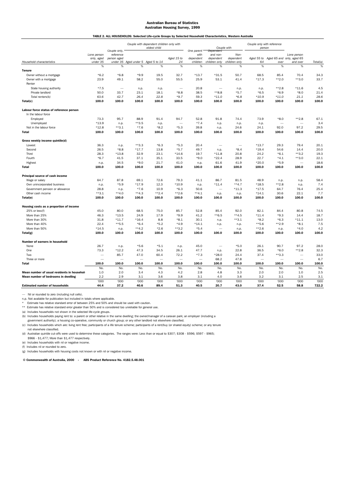# Australian Bureau of Statistics Australian Housing Survey, 1999 TABLE 2. ALL HOUSEHOLDS: Selected Life-cycle Groups by Selected Household Characteristics, Western Australia

|                                            |                          | Couple only, |                                         | Couple with dependent children only with<br>eldest child |                          | One parent               | Dependent                | Couple with   | Couple only with reference<br>person |                           |                          |               |
|--------------------------------------------|--------------------------|--------------|-----------------------------------------|----------------------------------------------------------|--------------------------|--------------------------|--------------------------|---------------|--------------------------------------|---------------------------|--------------------------|---------------|
|                                            | Lone person              | reference    |                                         |                                                          |                          | with                     | and non-                 | Non-          |                                      |                           | Lone person              |               |
|                                            | only, aged               | person aged  |                                         |                                                          | Aged 15 to               | dependent                | dependent                | dependent     | Aged 55 to                           | Aged 65 and only, aged 65 |                          |               |
| Household characteristics                  | under 35                 |              | under 35 Aged under 5 Aged 5 to 14<br>% |                                                          | 24                       | children                 | children only<br>%       | children only | 64                                   | over                      | and over                 | Total(a)<br>% |
| Tenure                                     | %                        | $\%$         |                                         | %                                                        | %                        | $\%$                     |                          | %             | %                                    | %                         | $\%$                     |               |
| Owner without a mortgage                   | $*6.2$                   | $*6.8$       | $*9.9$                                  | 19.5                                                     | 32.7                     | $*13.7$                  | $*31.5$                  | 50.7          | 68.5                                 | 85.4                      | 70.4                     | 34.3          |
| Owner with a mortgage                      | 23.9                     | 49.1         | 58.2                                    | 55.0                                                     | 55.5                     | 25.9                     | 53.1                     | 41.4          | $*17.3$                              | $**2.0$                   | $***3.0$                 | 33.7          |
| Renter                                     |                          |              |                                         |                                                          |                          |                          |                          |               |                                      |                           |                          |               |
| State housing authority                    | $*7.5$                   | $\sim$       | n.p.                                    | n.p.                                                     | $\overline{\phantom{0}}$ | 20.8                     | $\sim$                   | n.p.          | n.p.                                 | $**2.8$                   | $*11.6$                  | 4.5           |
| Private landlord                           | 50.0                     | 33.7         | 23.1                                    | 18.1                                                     | $*8.8$                   | 38.5                     | $*8.8$                   | $*5.7$        | $*6.5$                               | $*6.9$                    | $*8.0$                   | 21.4          |
| Total renters(b)                           | 63.6                     | 42.7         | 26.4                                    | 22.8                                                     | $*9.7$                   | 59.3                     | $*11.0$                  | $*6.8$        | $*10.9$                              | $*11.0$                   | 21.1                     | 28.6          |
| Total(c)                                   | 100.0                    | 100.0        | 100.0                                   | 100.0                                                    | 100.0                    | 100.0                    | 100.0                    | 100.0         | 100.0                                | 100.0                     | 100.0                    | 100.0         |
|                                            |                          |              |                                         |                                                          |                          |                          |                          |               |                                      |                           |                          |               |
| Labour force status of reference person    |                          |              |                                         |                                                          |                          |                          |                          |               |                                      |                           |                          |               |
| In the labour force                        |                          |              |                                         |                                                          |                          |                          |                          |               |                                      |                           |                          |               |
| Employed                                   | 73.3                     | 95.7         | 88.9                                    | 91.4                                                     | 94.7                     | 52.8                     | 91.8                     | 74.4          | 73.9                                 | $*8.0$                    | $**2.8$                  | 67.1          |
| Unemployed                                 | $*13.9$                  | n.p.         | $***3.5$                                | n.p.                                                     | $\overline{\phantom{0}}$ | $*7.4$                   | n.p.                     | n.p.          | n.p.                                 | -                         |                          | 3.4           |
| Not in the labour force                    | $*12.8$                  | $***3.1$     | $*7.6$                                  | $*8.2$                                                   | $*5.3$                   | 39.8                     | n.p.                     | 24.6          | 24.1                                 | 92.0                      | 97.2                     | 29.5          |
| <b>Total</b>                               | 100.0                    | 100.0        | 100.0                                   | 100.0                                                    | 100.0                    | 100.0                    | 100.0                    | 100.0         | 100.0                                | 100.0                     | 100.0                    | 100.0         |
| Gross weekly income quintile(d)            |                          |              |                                         |                                                          |                          |                          |                          |               |                                      |                           |                          |               |
| Lowest                                     | 36.3                     | n.p.         | $**3.3$                                 | $*6.3$                                                   | $*5.3$                   | 20.4                     |                          |               | $*13.7$                              | 29.3                      | 79.4                     | 20.1          |
| Second                                     | 26.5                     | $*8.8$       | $*17.7$                                 | 13.8                                                     | $*5.7$                   | 49.7                     | n.p.                     | $*8.4$        | $*19.4$                              | 54.6                      | 14.4                     | 20.0          |
| Third                                      | 28.3                     | $*13.8$      | 32.9                                    | 23.1                                                     | $*14.6$                  | 19.7                     | $*11.8$                  | 20.8          | 24.2                                 | $*6.1$                    | $***3.2$                 | 19.3          |
| Fourth                                     | $*6.7$                   | 41.5         | 37.1                                    | 35.1                                                     | 33.5                     | $*9.0$                   | $*22.4$                  | 28.9          | 22.7                                 | $*4.1$                    | **3.0                    | 22.1          |
| Highest                                    | n.p.                     | 34.5         | $*9.0$                                  | 21.7                                                     | 41.0                     | n.p.                     | 61.6                     | 41.9          | $*20.0$                              | $*5.9$                    |                          | 18.6          |
| <b>Total</b>                               | 100.0                    | 100.0        | 100.0                                   | 100.0                                                    | 100.0                    | 100.0                    | 100.0                    | 100.0         | 100.0                                | 100.0                     | 100.0                    | 100.0         |
| Principal source of cash income            |                          |              |                                         |                                                          |                          |                          |                          |               |                                      |                           |                          |               |
| Wage or salary                             | 64.7                     | 87.8         | 69.1                                    | 72.6                                                     | 79.3                     | 41.1                     | 86.7                     | 81.5          | 48.9                                 | n.p.                      | n.p.                     | 58.4          |
| Own unincorporated business                | n.p.                     | $*5.9$       | $*17.9$                                 | 12.3                                                     | $*10.9$                  | n.p.                     | $*11.4$                  | $***4.7$      | $*18.5$                              | $**2.8$                   | n.p.                     | 7.4           |
| Government pension or allowance            | 28.8                     | n.p.         | $*7.6$                                  | 10.9                                                     | $*6.3$                   | 50.6                     | $\overline{\phantom{a}}$ | $*11.3$       | $*17.5$                              | 64.7                      | 76.4                     | 25.4          |
| Other cash income                          | $**3.1$                  | $**4.0$      | $**4.3$                                 | $**2.4$                                                  | $***2.6$                 | $**4.1$                  | n.p.                     | n.p.          | $*14.1$                              | 30.6                      | 22.1                     | 7.7           |
| Total(e)                                   | 100.0                    | 100.0        | 100.0                                   | 100.0                                                    | 100.0                    | 100.0                    | 100.0                    | 100.0         | 100.0                                | 100.0                     | 100.0                    | 100.0         |
| Housing costs as a proportion of income    |                          |              |                                         |                                                          |                          |                          |                          |               |                                      |                           |                          |               |
| 25% or less(f)                             | 45.0                     | 80.0         | 68.5                                    | 75.0                                                     | 85.7                     | 52.8                     | 85.4                     | 92.0          | 82.1                                 | 84.4                      | 80.8                     | 74.5          |
| More than 25%                              | 46.3                     | $*13.5$      | 24.9                                    | 17.9                                                     | $*9.9$                   | 41.2                     | $*$ 6.5                  | $**4.5$       | $*11.4$                              | $*9.3$                    | 14.4                     | 18.7          |
| More than 30%                              | 31.8                     | $*11.7$      | $*16.4$                                 | 8.8                                                      | $*8.1$                   | 30.1                     | n.p.                     | $*3.1$        | $*8.2$                               | $*6.3$                    | $*11.1$                  | 13.0          |
| More than 40%                              | 22.4                     | $***5.5$     | $*6.4$                                  | $*5.2$                                                   | $*4.9$                   | $*14.1$                  | n.p.                     | n.p.          | **5.6                                | $***2.9$                  | $*8.1$                   | 7.5           |
| More than 50%                              | $*14.5$                  | n.p.         | $***4.2$                                | $*2.6$                                                   | $***3.2$                 | $*5.4$                   |                          | n.p.          | $***2.6$                             | n.p.                      | $*4.0$                   | 4.2           |
| Total(g)                                   | 100.0                    | 100.0        | 100.0                                   | 100.0                                                    | 100.0                    | 100.0                    | 100.0                    | 100.0         | 100.0                                | 100.0                     | 100.0                    | 100.0         |
| Number of earners in household             |                          |              |                                         |                                                          |                          |                          |                          |               |                                      |                           |                          |               |
| None                                       | 26.7                     | n.p.         | $*5.6$                                  | $*5.1$                                                   | n.p.                     | 45.0                     | $\overline{\phantom{0}}$ | $*5.0$        | 26.1                                 | 90.7                      | 97.2                     | 28.0          |
| One                                        | 73.3                     | $*12.2$      | 47.3                                    | 34.5                                                     | 26.1                     | 47.7                     | n.p.                     | 22.8          | 36.5                                 | $*6.0$                    | **2.8                    | 32.3          |
| Two                                        | $\overline{\phantom{0}}$ | 85.7         | 47.0                                    | 60.4                                                     | 72.2                     | $*7.3$                   | $*28.0$                  | 24.4          | 37.4                                 | $**3.3$                   | $\sim$                   | 33.0          |
| Three or more                              | $\overline{\phantom{a}}$ |              | $\overline{\phantom{0}}$                | $\overline{\phantom{a}}$                                 | $\overline{\phantom{0}}$ | $\overline{\phantom{0}}$ | 68.2                     | 47.8          | $\overline{\phantom{a}}$             | -                         | $\overline{\phantom{a}}$ | 6.7           |
| <b>Total</b>                               | 100.0                    | 100.0        | 100.0                                   | 100.0                                                    | 100.0                    | 100.0                    | 100.0                    | 100.0         | 100.0                                | 100.0                     | 100.0                    | 100.0         |
|                                            | No.                      | No.          | No.                                     | No.                                                      | No.                      | No.                      | No.                      | No.           | No.                                  | No.                       | No.                      | No.           |
| Mean number of usual residents in househol | 1.0                      | 2.0          | 3.4                                     | 4.3                                                      | 4.2                      | 2.8                      | 4.8                      | 3.3           | 2.0                                  | 2.0                       | 1.0                      | 2.5           |
| Mean number of bedrooms in dwelling        | 2.2                      | 2.9          | 3.1                                     | 3.6                                                      | 3.8                      | 3.1                      | 4.0                      | 3.6           | 3.2                                  | 3.1                       | 2.5                      | 3.1           |
|                                            | '000                     | '000         | '000                                    | '000                                                     | '000                     | '000                     | '000                     | '000          | '000                                 | '000                      | '000                     | '000          |
| <b>Estimated number of households</b>      | 44.4                     | 37.2         | 40.6                                    | 89.4                                                     | 51.3                     | 40.5                     | 20.7                     | 43.0          | 37.4                                 | 52.5                      | 58.8                     | 722.2         |

— Nil or rounded to zero (including null cells). n.p. Not available for publication but included in totals where applicable.

\* Estimate has relative standard error of between 25% and 50% and should be used with caution.

\*\* Estimate has relative standard error greater than 50% and is considered too unreliable for general use. (a) Includes households not shown in the selected life-cycle groups.

(b) Includes households paying rent to: a parent or other relative in the same dwelling; the owner/manager of a caravan park; an employer (including a

government authority); a housing co-operative, community or church group; or any other landlord not elsewhere classified.<br>(c) Includes households which are: living rent free; participants of a life tenure scheme; participa

 not elsewhere classified. (d) Australian quintile cut-offs were used to determine these categories. The ranges were: Less than or equal to \$307; \$308 - \$596; \$597 - \$965;

\$966 - \$1,477; More than \$1,477 respectively.

(e) Includes households with nil or negative income.

(f) Includes nil or rounded to zero.

(g) Includes households with housing costs not known or with nil or negative income.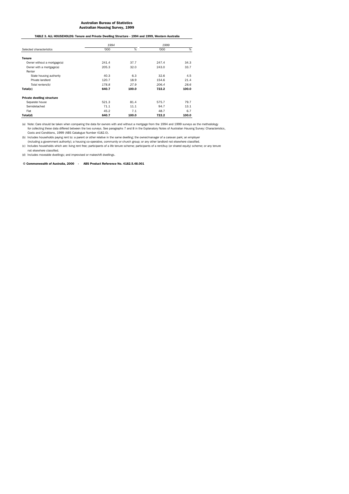TABLE 3. ALL HOUSEHOLDS: Tenure and Private Dwelling Structure - 1994 and 1999, Western Australia

|                                   | 1994  |       | 1999  |       |  |
|-----------------------------------|-------|-------|-------|-------|--|
| Selected characteristics          | '000  | %     | '000  | %     |  |
| <b>Tenure</b>                     |       |       |       |       |  |
| Owner without a mortgage(a)       | 241.4 | 37.7  | 247.4 | 34.3  |  |
| Owner with a mortgage(a)          | 205.3 | 32.0  | 243.0 | 33.7  |  |
| Renter                            |       |       |       |       |  |
| State housing authority           | 40.3  | 6.3   | 32.6  | 4.5   |  |
| Private landlord                  | 120.7 | 18.9  | 154.6 | 21.4  |  |
| Total renters(b)                  | 178.8 | 27.9  | 206.4 | 28.6  |  |
| Total(c)                          | 640.7 | 100.0 | 722.2 | 100.0 |  |
| <b>Private dwelling structure</b> |       |       |       |       |  |
| Separate house                    | 521.3 | 81.4  | 575.7 | 79.7  |  |
| Semidetached                      | 71.1  | 11.1  | 94.7  | 13.1  |  |
| Flat                              | 45.2  | 7.1   | 48.7  | 6.7   |  |
| Total(d)                          | 640.7 | 100.0 | 722.2 | 100.0 |  |

(a) Note: Care should be taken when comparing the data for owners with and without a mortgage from the 1994 and 1999 surveys as the methodology for collecting these data differed between the two surveys. See paragraphs 7 and 8 in the Explanatory Notes of Australian Housing Survey: Characteristics,

Costs and Conditions, 1999 (ABS Catalogue Number 4182.0). (b) Includes households paying rent to: a parent or other relative in the same dwelling; the owner/manager of a caravan park; an employer

including a govemment authority); a housing co-operative, community or church group; or any other landlord not elsewhere classified.<br>(c) Includes households which are: living rent free; participants of a life tenure scheme not elsewhere classified.

(d) Includes moveable dwellings; and improvised or makeshift dwellings.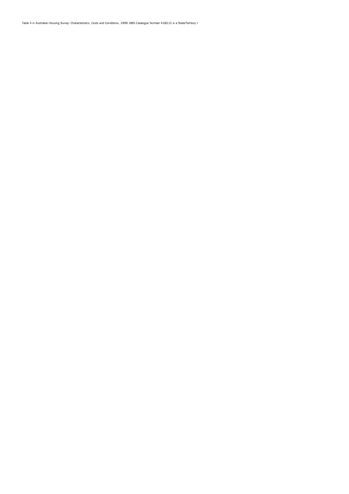Table 4 in Australian Housing Survey: Characteristics, Costs and Conditions, 1999 (ABS Catalogue Number 4182.0) is a State/Territory t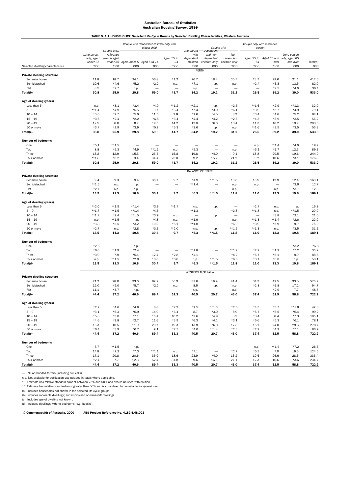# Australian Bureau of Statistics Australian Housing Survey, 1999 TABLE 5. ALL HOUSEHOLDS: Selected Life-Cycle Groups by Selected Dwelling Characteristics, Western Australia

|                                                     |                  |                           |                                    | Couple with dependent children only with<br>eldest child |                          |                          | Couple only with reference<br>Couple with<br>person |                          |                          |                           |                  |               |
|-----------------------------------------------------|------------------|---------------------------|------------------------------------|----------------------------------------------------------|--------------------------|--------------------------|-----------------------------------------------------|--------------------------|--------------------------|---------------------------|------------------|---------------|
|                                                     | Lone person      | Couple only,<br>reference |                                    |                                                          |                          | One parent<br>with       | Dependent<br>and non-                               | Non-                     |                          |                           | Lone person      |               |
|                                                     | only, aged       | person aged               |                                    |                                                          | Aged 15 to               | dependent                | dependent                                           | dependent                | Aged 55 to               | Aged 65 and only, aged 65 |                  |               |
|                                                     | under 35         |                           | under 35 Aged under 5 Aged 5 to 14 |                                                          | 24                       | children                 | children only                                       | children only            | 64                       | over                      | and over         | Total(a)      |
| Selected dwelling characteristics                   | '000             | '000                      | '000                               | '000                                                     | '000                     | '000                     | '000                                                | '000                     | '000                     | '000                      | '000             | '000          |
|                                                     |                  |                           |                                    |                                                          |                          |                          | PERTH                                               |                          |                          |                           |                  |               |
| <b>Private dwelling structure</b><br>Separate house | 11.8             | 18.7                      | 24.2                               | 56.8                                                     | 41.2                     | 26.7                     | 18.4                                                | 30.7                     | 23.7                     | 29.6                      | 21.1             | 412.6         |
| Semidetached                                        | 10.6             | $*4.6$                    | $*5.2$                             | $*2.2$                                                   | n.p.                     | $*7.1$                   | n.p.                                                | n.p.                     | $*2.4$                   | $*6.8$                    | 13.5             | 82.0          |
| Flat                                                | 8.5              | $*2.7$                    | n.p.                               | $\overline{\phantom{a}}$                                 | -                        | n.p.                     |                                                     | -                        | $\overline{\phantom{a}}$ | $*2.5$                    | $*4.0$           | 36.4          |
| Total(b)                                            | 30.8             | 25.9                      | 29.8                               | 59.0                                                     | 41.7                     | 34.2                     | 19.2                                                | 31.2                     | 26.5                     | 39.2                      | 39.0             | 533.0         |
| Age of dwelling (years)                             |                  |                           |                                    |                                                          |                          |                          |                                                     |                          |                          |                           |                  |               |
| Less than 5                                         | n.p.             | $*3.1$                    | $*3.4$                             | $*4.9$                                                   | $***1.2$                 | $**2.1$                  | n.p.                                                | $*2.5$                   | $***1.6$                 | $*2.9$                    | $**1.3$          | 32.0          |
| $5 - 9$                                             | $***1.4$         | $*4.9$                    | $*5.5$                             | 9.7                                                      | $*6.4$                   | $*7.4$                   | $*3.0$                                              | $*6.1$                   | $*3.9$                   | $*5.7$                    | $*4.9$           | 79.1          |
| $10 - 14$                                           | $*3.6$           | $*2.7$                    | $*5.6$                             | 11.5                                                     | 9.8                      | $*2.6$                   | $*4.5$                                              | 8.9                      | $*3.4$                   | $*4.6$                    | $*5.2$           | 84.1          |
| $15 - 19$                                           | $*3.6$           | $*2.4$                    | $*2.2$                             | $*6.8$                                                   | $*3.4$                   | $*4.4$                   | $*4.2$                                              | $*2.5$                   | $*4.3$                   | $*3.9$                    | $*3.5$           | 56.2          |
| $20 - 49$                                           | 12.5             | 8.0                       | 8.7                                | 19.5                                                     | 14.2                     | 12.0                     | $*6.0$                                              | 10.4                     | 11.3                     | 18.2                      | 19.7             | 203.6         |
| 50 or more                                          | $*3.7$           | $*2.9$                    | $*3.9$                             | $*5.7$                                                   | $*5.3$                   | $*3.6$                   | n.p.                                                | n.p.                     | $***1.6$                 | $*3.5$                    | $*3.5$           | 55.3          |
| Total(c)                                            | 30.8             | 25.9                      | 29.8                               | 59.0                                                     | 41.7                     | 34.2                     | 19.2                                                | 31.2                     | 26.5                     | 39.2                      | 39.0             | 533.0         |
| <b>Number of bedrooms</b>                           |                  |                           |                                    |                                                          |                          |                          |                                                     |                          |                          |                           |                  |               |
| One                                                 | $*5.1$           | $***1.5$                  |                                    |                                                          | -                        |                          |                                                     | $\overline{\phantom{0}}$ | n.p.                     | $***1.4$                  | $*4.0$           | 19.7          |
| Two                                                 | 8.8              | $*5.3$                    | $*4.9$                             | $***1.1$                                                 | n.p.                     | *5.3                     | $\overline{\phantom{a}}$                            | n.p.                     | $*3.1$                   | $*6.7$                    | 12.3             | 89.3          |
| Three                                               | 13.2             | 12.9                      | 15.5                               | 23.5                                                     | 15.8                     | 19.8                     | $*4.0$                                              | 9.1                      | 13.8                     | 20.5                      | 19.6             | 244.9         |
| Four or more                                        | $***1.8$         | $*6.2$                    | 9.4                                | 34.4                                                     | 25.0                     | 9.2                      | 15.2                                                | 21.2                     | 9.2                      | 10.6                      | $*3.1$           | 176.3         |
| Total(d)                                            | 30.8             | 25.9                      | 29.8                               | 59.0                                                     | 41.7                     | 34.2                     | 19.2                                                | 31.2                     | 26.5                     | 39.2                      | 39.0             | 533.0         |
|                                                     |                  |                           |                                    |                                                          |                          |                          | <b>BALANCE OF STATE</b>                             |                          |                          |                           |                  |               |
| <b>Private dwelling structure</b>                   |                  |                           |                                    |                                                          |                          |                          |                                                     |                          |                          |                           |                  |               |
| Separate house                                      | 9.4              | 9.3                       | 9.4                                | 30.4                                                     | 9.7                      | $*4.9$                   | $**1.5$                                             | 10.6                     | 10.5                     | 12.9                      | 12.4             | 163.1         |
| Semidetached                                        | $**1.5$          | n.p.                      | n.p.                               |                                                          | -                        | $***1.4$                 |                                                     | n.p.                     | n.p.                     | $\overline{\phantom{0}}$  | $*3.6$           | 12.7          |
| Flat                                                | $*2.7$           | n.p.                      | n.p.                               | $\overline{\phantom{a}}$                                 | $\overline{\phantom{0}}$ |                          |                                                     | n.p.                     |                          | n.p.                      | $*3.7$           | 12.3          |
| Total(b)                                            | 13.5             | 11.3                      | 10.8                               | 30.4                                                     | 9.7                      | $*6.3$                   | $***1.5$                                            | 11.8                     | 11.0                     | 13.3                      | 19.8             | 189.1         |
| Age of dwelling (years)                             |                  |                           |                                    |                                                          |                          |                          |                                                     |                          |                          |                           |                  |               |
| Less than 5                                         | $**2.0$          | $***1.5$                  | $**1.4$                            | $*3.9$                                                   | $***1.7$                 | n.p.                     | n.p.                                                |                          | $*2.7$                   | n.p.                      | n.p.             | 15.8          |
| $5 - 9$                                             | $***1.7$         | $***1.5$                  | $**1.4$                            | $*4.3$                                                   | $\equiv$                 | $**1.3$                  | $\equiv$                                            | $*2.8$                   | $***1.8$                 | n.p.                      | $**1.5$          | 20.0          |
| $10 - 14$                                           | $***1.7$         | $*2.4$                    | $**1.5$                            | $*3.9$                                                   | n.p.                     | $\overline{\phantom{a}}$ | n.p.                                                | $\overline{\phantom{a}}$ | $\overline{\phantom{0}}$ | $*3.8$                    | $*2.1$           | 21.0          |
| $15 - 19$                                           | n.p.             | $***1.5$                  | n.p.                               | $*4.8$                                                   | n.p.                     | $***1.9$                 |                                                     | n.p.                     | $**1.3$                  | $**1.4$                   | $*2.6$           | 22.0          |
| $20 - 49$                                           | $*3.8$           | $*2.5$                    | $*3.2$                             | 10.2                                                     | $*5.1$                   | $***1.8$                 | $\overline{\phantom{0}}$                            | $*6.9$                   | $*3.9$                   | $*5.9$                    | 8.9              | 75.0          |
| 50 or more                                          | $*2.7$           | n.p.                      | $*2.8$                             | $*3.3$                                                   | $***2.0$                 | n.p.                     | n.p.                                                | $***1.5$                 | $***1.3$                 | n.p.                      | $*3.5$           | 31.6          |
| Total(c)                                            | 13.5             | 11.3                      | 10.8                               | 30.4                                                     | 9.7                      | *6.3                     | $***1.5$                                            | 11.8                     | 11.0                     | 13.3                      | 19.8             | 189.1         |
| <b>Number of bedrooms</b>                           |                  |                           |                                    |                                                          |                          |                          |                                                     |                          |                          |                           |                  |               |
| One                                                 | $*2.6$           |                           | n.p.                               |                                                          |                          |                          |                                                     |                          |                          |                           | $*3.2$           | $*6.8$        |
| Two                                                 | $*6.0$           | $***1.9$                  | $*2.4$                             | $\overline{\phantom{0}}$                                 | $\overline{\phantom{0}}$ | $**1.8$                  | $\overline{\phantom{m}}$                            | $***1.7$                 | $*2.2$                   | $**1.2$                   | $*7.2$           | 35.2          |
| Three                                               | $*3.9$           | 7.9                       | $*5.1$                             | 12.4                                                     | $*2.8$                   | $*4.1$                   | $\overline{\phantom{0}}$                            | $*4.2$                   | $*5.7$                   | $*6.1$                    | 8.9              | 88.5          |
| Four or more                                        | n.p.             | $***1.5$                  | $*2.9$                             | 18.0                                                     | *6.8                     | n.p.                     | $***1.5$                                            | $*6.0$                   | $*3.1$                   | $*6.0$                    | n.p.             | 58.1          |
| Total(d)                                            | 13.5             | 11.3                      | 10.8                               | 30.4                                                     | 9.7                      | *6.3                     | $***1.5$                                            | 11.8                     | 11.0                     | 13.3                      | 19.8             | 189.1         |
|                                                     |                  |                           |                                    |                                                          |                          |                          | WESTERN AUSTRALIA                                   |                          |                          |                           |                  |               |
| <b>Private dwelling structure</b>                   |                  |                           |                                    |                                                          |                          |                          |                                                     |                          |                          |                           |                  |               |
| Separate house                                      | 21.2             | 28.0                      | 33.6                               | 87.2                                                     | 50.9                     | 31.6                     | 19.9                                                | 41.4                     | 34.3                     | 42.5                      | 33.5             | 575.7         |
| Semidetached                                        | 12.0             | $*5.0$                    | $*5.7$                             | $*2.2$                                                   | n.p.                     | 8.5                      | n.p.                                                | n.p.                     | $*2.8$                   | $*6.8$                    | 17.2             | 94.7          |
| Flat<br>Total(b)                                    | 11.1<br>44.4     | $*3.7$<br>37.2            | n.p.<br>40.6                       | $\overline{\phantom{0}}$<br>89.4                         | 51.3                     | n.p.<br>40.5             | 20.7                                                | n.p.<br>43.0             | $\qquad \qquad$<br>37.4  | $*2.9$<br>52.5            | 7.7<br>58.8      | 48.7<br>722.2 |
|                                                     |                  |                           |                                    |                                                          |                          |                          |                                                     |                          |                          |                           |                  |               |
| Age of dwelling (years)                             |                  |                           |                                    |                                                          |                          |                          |                                                     |                          |                          |                           |                  |               |
| Less than 5                                         | $*2.9$           | $*4.6$                    | $*4.9$                             | 8.8                                                      | $*2.9$                   | $*2.5$                   | $***1.3$                                            | $*2.5$                   | $*4.3$                   | $*3.7$                    | $***1.8$         | 47.8          |
| $5-9$<br>$10 - 14$                                  | $*3.1$<br>$*5.3$ | $*6.3$                    | $*6.9$                             | 14.0                                                     | $*6.4$                   | 8.7                      | $*3.0$                                              | 8.9                      | $*5.7$                   | $*6.6$                    | $*6.4$           | 99.2          |
| $15 - 19$                                           | $*4.6$           | $*5.0$<br>$*3.8$          | $*7.1$<br>$*2.7$                   | 15.4<br>11.6                                             | 10.2<br>$*3.9$           | $*2.6$<br>$*6.3$         | $*4.9$<br>$*4.2$                                    | 8.9<br>$*3.1$            | $*3.4$<br>$*5.6$         | 8.4<br>$*5.3$             | $*7.3$<br>$*6.1$ | 105.1<br>78.1 |
| $20 - 49$                                           | 16.3             | 10.5                      | 11.9                               | 29.7                                                     | 19.3                     | 13.8                     | $*6.0$                                              | 17.3                     | 15.1                     | 24.0                      | 28.6             | 278.7         |
| 50 or more                                          | $*6.4$           | $*3.9$                    | $*6.7$                             | 9.1                                                      | $*7.3$                   | $*4.0$                   | $***1.4$                                            | $*2.3$                   | $*2.9$                   | $*4.2$                    | $*7.1$           | 86.9          |
| Total(c)                                            | 44.4             | 37.2                      | 40.6                               | 89.4                                                     | 51.3                     | 40.5                     | 20.7                                                | 43.0                     | 37.4                     | 52.5                      | 58.8             | 722.2         |
| <b>Number of bedrooms</b>                           |                  |                           |                                    |                                                          |                          |                          |                                                     |                          |                          |                           |                  |               |
| One                                                 | 7.7              | $***1.5$                  | n.p.                               | $\overline{\phantom{a}}$                                 | $\overline{\phantom{a}}$ | $\overline{\phantom{m}}$ | $\qquad \qquad$                                     | $\overline{\phantom{m}}$ | n.p.                     | $***1.4$                  | $*7.2$           | 26.5          |
| Two                                                 | 14.8             | $*7.2$                    | $*7.3$                             | $***1.1$                                                 | n.p.                     | $*7.1$                   | $\qquad \qquad -$                                   | $*2.7$                   | $*5.3$                   | 7.9                       | 19.5             | 124.5         |
| Three                                               | 17.1             | 20.8                      | 20.6                               | 35.9                                                     | 18.6                     | 23.9                     | $*4.0$                                              | 13.2                     | 19.5                     | 26.6                      | 28.5             | 333.4         |
| Four or more                                        | $*2.4$           | 7.7                       | 12.3                               | 52.4                                                     | 31.8                     | 9.6                      | 16.6                                                | 27.1                     | 12.3                     | 16.6                      | $*3.6$           | 234.4         |
| Total(d)                                            | 44.4             | 37.2                      | 40.6                               | 89.4                                                     | 51.3                     | 40.5                     | 20.7                                                | 43.0                     | 37.4                     | 52.5                      | 58.8             | 722.2         |

— Nil or rounded to zero (including null cells).<br>n.p. Not available for publication but included in totals where applicable.<br>\* Estimate has relative standard error of between 25% and 50% and should be used with caution.

\*\* Estimate has relative standard error greater than 50% and is considered too unreliable for general use. (a) Includes households not shown in the selected life-cycle groups.

(b) Includes moveable dwellings; and improvised or makeshift dwellings.

(c) Includes age of dwelling not known. (d) Includes dwellings with no bedrooms (e.g. bedsits).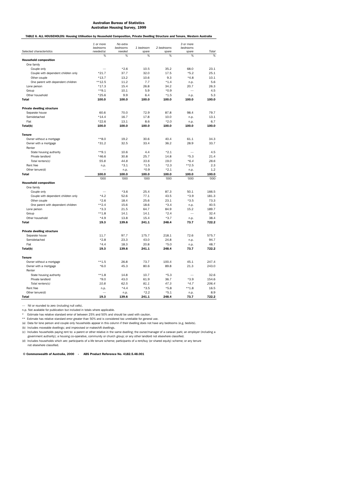TABLE 6. ALL HOUSEHOLDS: Housing Utilisation by Household Composition, Private Dwelling Structure and Tenure, Western Australia

| 2 bedrooms<br>bedrooms<br>bedrooms<br>bedrooms<br>1 bedroom<br>Total<br>Selected characteristics<br>needed(a)<br>needed<br>spare<br>spare<br>spare<br>%<br>%<br>%<br>%<br>%<br>%<br><b>Household composition</b><br>One family<br>$*2.6$<br>10.5<br>35.2<br>68.0<br>23.1<br>Couple only<br>$*21.7$<br>37.7<br>32.0<br>17.5<br>$*5.2$<br>25.1<br>Couple with dependent children only<br>13.2<br>10.6<br>9.3<br>10.1<br>Other couple<br>$*13.7$<br>$*4.8$<br>$***12.5$<br>7.7<br>$*1.4$<br>5.6<br>One parent with dependent children<br>11.2<br>n.p.<br>$*17.3$<br>15.4<br>26.8<br>34.2<br>20.7<br>26.3<br>Lone person<br>$**9.1$<br>10.1<br>5.9<br>$*0.9$<br>4.5<br>Group<br>$*25.6$<br>$*1.5$<br>5.3<br>Other household<br>9.9<br>6.4<br>n.p.<br>100.0<br>100.0<br>100.0<br>100.0<br>100.0<br><b>Total</b><br>100.0<br><b>Private dwelling structure</b><br>Separate house<br>60.6<br>70.0<br>72.9<br>87.8<br>98.4<br>79.7<br>Semidetached<br>$*14.4$<br>16.7<br>17.8<br>13.1<br>10.0<br>n.p.<br>Flat<br>$*22.6$<br>13.1<br>8.6<br>$*2.0$<br>n.p.<br>6.7<br>100.0<br>100.0<br>Total(b)<br>100.0<br>100.0<br>100.0<br>100.0<br><b>Tenure</b><br>Owner without a mortgage<br>**8.0<br>19.2<br>30.6<br>40.4<br>61.1<br>34.3<br>Owner with a mortgage<br>$*31.2$<br>32.5<br>33.4<br>36.2<br>28.9<br>33.7<br>Renter<br>$**9.1$<br>10.6<br>4.4<br>$*2.1$<br>4.5<br>State housing authority<br>$*46.6$<br>30.8<br>25.7<br>14.8<br>$*5.3$<br>21.4<br>Private landlord<br>28.6<br>Total renters(c)<br>55.8<br>44.8<br>33.6<br>19.0<br>$*6.4$<br>Rent free<br>$*3.1$<br>$*1.5$<br>$*2.3$<br>$*2.5$<br>2.3<br>n.p.<br>Other tenure(d)<br>$*0.9$<br>$*2.1$<br>1.2<br>n.p.<br>n.p.<br><b>Total</b><br>100.0<br>100.0<br>100.0<br>100.0<br>100.0<br>100.0<br>'000<br>'000<br>'000<br>'000<br>'000<br>'000<br><b>Household composition</b><br>One family<br>$*3.6$<br>25.4<br>87.3<br>50.1<br>166.5<br>Couple only<br>$*4.2$<br>Couple with dependent children only<br>52.6<br>77.1<br>43.5<br>$*3.9$<br>181.3<br>$*2.6$<br>18.4<br>25.6<br>23.1<br>$*3.5$<br>73.3<br>Other couple<br>$**2.4$<br>15.6<br>18.6<br>$*3.4$<br>40.5<br>One parent with dependent children<br>n.p.<br>$*3.3$<br>21.5<br>64.7<br>84.9<br>15.2<br>189.7<br>Lone person<br>$***1.8$<br>14.1<br>14.1<br>$*2.4$<br>32.4<br>Group<br>$\overline{\phantom{0}}$<br>$*4.9$<br>13.8<br>15.4<br>$*3.7$<br>38.4<br>Other household<br>n.p.<br>19.3<br>139.6<br>241.1<br>248.4<br>73.7<br>722.2<br><b>Total</b><br><b>Private dwelling structure</b><br>11.7<br>97.7<br>218.1<br>72.6<br>575.7<br>Separate house<br>175.7<br>$*2.8$<br>Semidetached<br>23.3<br>43.0<br>24.8<br>94.7<br>n.p.<br>$*5.0$<br>Flat<br>$*4.4$<br>18.3<br>20.8<br>48.7<br>n.p.<br>139.6<br>241.1<br>Total(b)<br>19.3<br>248.4<br>73.7<br>722.2<br><b>Tenure</b><br>247.4<br>Owner without a mortgage<br>$**1.5$<br>26.8<br>73.7<br>100.4<br>45.1<br>$*6.0$<br>45.3<br>80.6<br>89.8<br>21.3<br>243.0<br>Owner with a mortgage<br>Renter<br>$***1.8$<br>$*5.3$<br>32.6<br>State housing authority<br>14.8<br>10.7<br>$*9.0$<br>43.0<br>$*3.9$<br>154.6<br>Private landlord<br>61.9<br>36.7<br>Total renters(c)<br>10.8<br>62.5<br>81.1<br>47.3<br>$*4.7$<br>206.4<br>Rent free<br>$*4.4$<br>$*3.5$<br>$*5.8$<br>$**1.8$<br>16.5<br>n.p.<br>Other tenure(d)<br>$*2.2$<br>$*5.1$<br>8.9<br>n.p.<br>n.p.<br><b>Total</b><br>19.3<br>139.6<br>241.1<br>248.4<br>73.7<br>722.2 | 1 or more | No extra |  | 3 or more |  |
|-------------------------------------------------------------------------------------------------------------------------------------------------------------------------------------------------------------------------------------------------------------------------------------------------------------------------------------------------------------------------------------------------------------------------------------------------------------------------------------------------------------------------------------------------------------------------------------------------------------------------------------------------------------------------------------------------------------------------------------------------------------------------------------------------------------------------------------------------------------------------------------------------------------------------------------------------------------------------------------------------------------------------------------------------------------------------------------------------------------------------------------------------------------------------------------------------------------------------------------------------------------------------------------------------------------------------------------------------------------------------------------------------------------------------------------------------------------------------------------------------------------------------------------------------------------------------------------------------------------------------------------------------------------------------------------------------------------------------------------------------------------------------------------------------------------------------------------------------------------------------------------------------------------------------------------------------------------------------------------------------------------------------------------------------------------------------------------------------------------------------------------------------------------------------------------------------------------------------------------------------------------------------------------------------------------------------------------------------------------------------------------------------------------------------------------------------------------------------------------------------------------------------------------------------------------------------------------------------------------------------------------------------------------------------------------------------------------------------------------------------------------------------------------------------------------------------------------------------------------------------------------------------------------------------------------------------------------------------------------------------------------------------------------------------------------------------------------------------------------------------------------------------------------------------------------------------------------------------------------------------------------------------------------------------------------------------------------------------------------------------------------------------|-----------|----------|--|-----------|--|
|                                                                                                                                                                                                                                                                                                                                                                                                                                                                                                                                                                                                                                                                                                                                                                                                                                                                                                                                                                                                                                                                                                                                                                                                                                                                                                                                                                                                                                                                                                                                                                                                                                                                                                                                                                                                                                                                                                                                                                                                                                                                                                                                                                                                                                                                                                                                                                                                                                                                                                                                                                                                                                                                                                                                                                                                                                                                                                                                                                                                                                                                                                                                                                                                                                                                                                                                                                                                 |           |          |  |           |  |
|                                                                                                                                                                                                                                                                                                                                                                                                                                                                                                                                                                                                                                                                                                                                                                                                                                                                                                                                                                                                                                                                                                                                                                                                                                                                                                                                                                                                                                                                                                                                                                                                                                                                                                                                                                                                                                                                                                                                                                                                                                                                                                                                                                                                                                                                                                                                                                                                                                                                                                                                                                                                                                                                                                                                                                                                                                                                                                                                                                                                                                                                                                                                                                                                                                                                                                                                                                                                 |           |          |  |           |  |
|                                                                                                                                                                                                                                                                                                                                                                                                                                                                                                                                                                                                                                                                                                                                                                                                                                                                                                                                                                                                                                                                                                                                                                                                                                                                                                                                                                                                                                                                                                                                                                                                                                                                                                                                                                                                                                                                                                                                                                                                                                                                                                                                                                                                                                                                                                                                                                                                                                                                                                                                                                                                                                                                                                                                                                                                                                                                                                                                                                                                                                                                                                                                                                                                                                                                                                                                                                                                 |           |          |  |           |  |
|                                                                                                                                                                                                                                                                                                                                                                                                                                                                                                                                                                                                                                                                                                                                                                                                                                                                                                                                                                                                                                                                                                                                                                                                                                                                                                                                                                                                                                                                                                                                                                                                                                                                                                                                                                                                                                                                                                                                                                                                                                                                                                                                                                                                                                                                                                                                                                                                                                                                                                                                                                                                                                                                                                                                                                                                                                                                                                                                                                                                                                                                                                                                                                                                                                                                                                                                                                                                 |           |          |  |           |  |
|                                                                                                                                                                                                                                                                                                                                                                                                                                                                                                                                                                                                                                                                                                                                                                                                                                                                                                                                                                                                                                                                                                                                                                                                                                                                                                                                                                                                                                                                                                                                                                                                                                                                                                                                                                                                                                                                                                                                                                                                                                                                                                                                                                                                                                                                                                                                                                                                                                                                                                                                                                                                                                                                                                                                                                                                                                                                                                                                                                                                                                                                                                                                                                                                                                                                                                                                                                                                 |           |          |  |           |  |
|                                                                                                                                                                                                                                                                                                                                                                                                                                                                                                                                                                                                                                                                                                                                                                                                                                                                                                                                                                                                                                                                                                                                                                                                                                                                                                                                                                                                                                                                                                                                                                                                                                                                                                                                                                                                                                                                                                                                                                                                                                                                                                                                                                                                                                                                                                                                                                                                                                                                                                                                                                                                                                                                                                                                                                                                                                                                                                                                                                                                                                                                                                                                                                                                                                                                                                                                                                                                 |           |          |  |           |  |
|                                                                                                                                                                                                                                                                                                                                                                                                                                                                                                                                                                                                                                                                                                                                                                                                                                                                                                                                                                                                                                                                                                                                                                                                                                                                                                                                                                                                                                                                                                                                                                                                                                                                                                                                                                                                                                                                                                                                                                                                                                                                                                                                                                                                                                                                                                                                                                                                                                                                                                                                                                                                                                                                                                                                                                                                                                                                                                                                                                                                                                                                                                                                                                                                                                                                                                                                                                                                 |           |          |  |           |  |
|                                                                                                                                                                                                                                                                                                                                                                                                                                                                                                                                                                                                                                                                                                                                                                                                                                                                                                                                                                                                                                                                                                                                                                                                                                                                                                                                                                                                                                                                                                                                                                                                                                                                                                                                                                                                                                                                                                                                                                                                                                                                                                                                                                                                                                                                                                                                                                                                                                                                                                                                                                                                                                                                                                                                                                                                                                                                                                                                                                                                                                                                                                                                                                                                                                                                                                                                                                                                 |           |          |  |           |  |
|                                                                                                                                                                                                                                                                                                                                                                                                                                                                                                                                                                                                                                                                                                                                                                                                                                                                                                                                                                                                                                                                                                                                                                                                                                                                                                                                                                                                                                                                                                                                                                                                                                                                                                                                                                                                                                                                                                                                                                                                                                                                                                                                                                                                                                                                                                                                                                                                                                                                                                                                                                                                                                                                                                                                                                                                                                                                                                                                                                                                                                                                                                                                                                                                                                                                                                                                                                                                 |           |          |  |           |  |
|                                                                                                                                                                                                                                                                                                                                                                                                                                                                                                                                                                                                                                                                                                                                                                                                                                                                                                                                                                                                                                                                                                                                                                                                                                                                                                                                                                                                                                                                                                                                                                                                                                                                                                                                                                                                                                                                                                                                                                                                                                                                                                                                                                                                                                                                                                                                                                                                                                                                                                                                                                                                                                                                                                                                                                                                                                                                                                                                                                                                                                                                                                                                                                                                                                                                                                                                                                                                 |           |          |  |           |  |
|                                                                                                                                                                                                                                                                                                                                                                                                                                                                                                                                                                                                                                                                                                                                                                                                                                                                                                                                                                                                                                                                                                                                                                                                                                                                                                                                                                                                                                                                                                                                                                                                                                                                                                                                                                                                                                                                                                                                                                                                                                                                                                                                                                                                                                                                                                                                                                                                                                                                                                                                                                                                                                                                                                                                                                                                                                                                                                                                                                                                                                                                                                                                                                                                                                                                                                                                                                                                 |           |          |  |           |  |
|                                                                                                                                                                                                                                                                                                                                                                                                                                                                                                                                                                                                                                                                                                                                                                                                                                                                                                                                                                                                                                                                                                                                                                                                                                                                                                                                                                                                                                                                                                                                                                                                                                                                                                                                                                                                                                                                                                                                                                                                                                                                                                                                                                                                                                                                                                                                                                                                                                                                                                                                                                                                                                                                                                                                                                                                                                                                                                                                                                                                                                                                                                                                                                                                                                                                                                                                                                                                 |           |          |  |           |  |
|                                                                                                                                                                                                                                                                                                                                                                                                                                                                                                                                                                                                                                                                                                                                                                                                                                                                                                                                                                                                                                                                                                                                                                                                                                                                                                                                                                                                                                                                                                                                                                                                                                                                                                                                                                                                                                                                                                                                                                                                                                                                                                                                                                                                                                                                                                                                                                                                                                                                                                                                                                                                                                                                                                                                                                                                                                                                                                                                                                                                                                                                                                                                                                                                                                                                                                                                                                                                 |           |          |  |           |  |
|                                                                                                                                                                                                                                                                                                                                                                                                                                                                                                                                                                                                                                                                                                                                                                                                                                                                                                                                                                                                                                                                                                                                                                                                                                                                                                                                                                                                                                                                                                                                                                                                                                                                                                                                                                                                                                                                                                                                                                                                                                                                                                                                                                                                                                                                                                                                                                                                                                                                                                                                                                                                                                                                                                                                                                                                                                                                                                                                                                                                                                                                                                                                                                                                                                                                                                                                                                                                 |           |          |  |           |  |
|                                                                                                                                                                                                                                                                                                                                                                                                                                                                                                                                                                                                                                                                                                                                                                                                                                                                                                                                                                                                                                                                                                                                                                                                                                                                                                                                                                                                                                                                                                                                                                                                                                                                                                                                                                                                                                                                                                                                                                                                                                                                                                                                                                                                                                                                                                                                                                                                                                                                                                                                                                                                                                                                                                                                                                                                                                                                                                                                                                                                                                                                                                                                                                                                                                                                                                                                                                                                 |           |          |  |           |  |
|                                                                                                                                                                                                                                                                                                                                                                                                                                                                                                                                                                                                                                                                                                                                                                                                                                                                                                                                                                                                                                                                                                                                                                                                                                                                                                                                                                                                                                                                                                                                                                                                                                                                                                                                                                                                                                                                                                                                                                                                                                                                                                                                                                                                                                                                                                                                                                                                                                                                                                                                                                                                                                                                                                                                                                                                                                                                                                                                                                                                                                                                                                                                                                                                                                                                                                                                                                                                 |           |          |  |           |  |
|                                                                                                                                                                                                                                                                                                                                                                                                                                                                                                                                                                                                                                                                                                                                                                                                                                                                                                                                                                                                                                                                                                                                                                                                                                                                                                                                                                                                                                                                                                                                                                                                                                                                                                                                                                                                                                                                                                                                                                                                                                                                                                                                                                                                                                                                                                                                                                                                                                                                                                                                                                                                                                                                                                                                                                                                                                                                                                                                                                                                                                                                                                                                                                                                                                                                                                                                                                                                 |           |          |  |           |  |
|                                                                                                                                                                                                                                                                                                                                                                                                                                                                                                                                                                                                                                                                                                                                                                                                                                                                                                                                                                                                                                                                                                                                                                                                                                                                                                                                                                                                                                                                                                                                                                                                                                                                                                                                                                                                                                                                                                                                                                                                                                                                                                                                                                                                                                                                                                                                                                                                                                                                                                                                                                                                                                                                                                                                                                                                                                                                                                                                                                                                                                                                                                                                                                                                                                                                                                                                                                                                 |           |          |  |           |  |
|                                                                                                                                                                                                                                                                                                                                                                                                                                                                                                                                                                                                                                                                                                                                                                                                                                                                                                                                                                                                                                                                                                                                                                                                                                                                                                                                                                                                                                                                                                                                                                                                                                                                                                                                                                                                                                                                                                                                                                                                                                                                                                                                                                                                                                                                                                                                                                                                                                                                                                                                                                                                                                                                                                                                                                                                                                                                                                                                                                                                                                                                                                                                                                                                                                                                                                                                                                                                 |           |          |  |           |  |
|                                                                                                                                                                                                                                                                                                                                                                                                                                                                                                                                                                                                                                                                                                                                                                                                                                                                                                                                                                                                                                                                                                                                                                                                                                                                                                                                                                                                                                                                                                                                                                                                                                                                                                                                                                                                                                                                                                                                                                                                                                                                                                                                                                                                                                                                                                                                                                                                                                                                                                                                                                                                                                                                                                                                                                                                                                                                                                                                                                                                                                                                                                                                                                                                                                                                                                                                                                                                 |           |          |  |           |  |
|                                                                                                                                                                                                                                                                                                                                                                                                                                                                                                                                                                                                                                                                                                                                                                                                                                                                                                                                                                                                                                                                                                                                                                                                                                                                                                                                                                                                                                                                                                                                                                                                                                                                                                                                                                                                                                                                                                                                                                                                                                                                                                                                                                                                                                                                                                                                                                                                                                                                                                                                                                                                                                                                                                                                                                                                                                                                                                                                                                                                                                                                                                                                                                                                                                                                                                                                                                                                 |           |          |  |           |  |
|                                                                                                                                                                                                                                                                                                                                                                                                                                                                                                                                                                                                                                                                                                                                                                                                                                                                                                                                                                                                                                                                                                                                                                                                                                                                                                                                                                                                                                                                                                                                                                                                                                                                                                                                                                                                                                                                                                                                                                                                                                                                                                                                                                                                                                                                                                                                                                                                                                                                                                                                                                                                                                                                                                                                                                                                                                                                                                                                                                                                                                                                                                                                                                                                                                                                                                                                                                                                 |           |          |  |           |  |
|                                                                                                                                                                                                                                                                                                                                                                                                                                                                                                                                                                                                                                                                                                                                                                                                                                                                                                                                                                                                                                                                                                                                                                                                                                                                                                                                                                                                                                                                                                                                                                                                                                                                                                                                                                                                                                                                                                                                                                                                                                                                                                                                                                                                                                                                                                                                                                                                                                                                                                                                                                                                                                                                                                                                                                                                                                                                                                                                                                                                                                                                                                                                                                                                                                                                                                                                                                                                 |           |          |  |           |  |
|                                                                                                                                                                                                                                                                                                                                                                                                                                                                                                                                                                                                                                                                                                                                                                                                                                                                                                                                                                                                                                                                                                                                                                                                                                                                                                                                                                                                                                                                                                                                                                                                                                                                                                                                                                                                                                                                                                                                                                                                                                                                                                                                                                                                                                                                                                                                                                                                                                                                                                                                                                                                                                                                                                                                                                                                                                                                                                                                                                                                                                                                                                                                                                                                                                                                                                                                                                                                 |           |          |  |           |  |
|                                                                                                                                                                                                                                                                                                                                                                                                                                                                                                                                                                                                                                                                                                                                                                                                                                                                                                                                                                                                                                                                                                                                                                                                                                                                                                                                                                                                                                                                                                                                                                                                                                                                                                                                                                                                                                                                                                                                                                                                                                                                                                                                                                                                                                                                                                                                                                                                                                                                                                                                                                                                                                                                                                                                                                                                                                                                                                                                                                                                                                                                                                                                                                                                                                                                                                                                                                                                 |           |          |  |           |  |
|                                                                                                                                                                                                                                                                                                                                                                                                                                                                                                                                                                                                                                                                                                                                                                                                                                                                                                                                                                                                                                                                                                                                                                                                                                                                                                                                                                                                                                                                                                                                                                                                                                                                                                                                                                                                                                                                                                                                                                                                                                                                                                                                                                                                                                                                                                                                                                                                                                                                                                                                                                                                                                                                                                                                                                                                                                                                                                                                                                                                                                                                                                                                                                                                                                                                                                                                                                                                 |           |          |  |           |  |
|                                                                                                                                                                                                                                                                                                                                                                                                                                                                                                                                                                                                                                                                                                                                                                                                                                                                                                                                                                                                                                                                                                                                                                                                                                                                                                                                                                                                                                                                                                                                                                                                                                                                                                                                                                                                                                                                                                                                                                                                                                                                                                                                                                                                                                                                                                                                                                                                                                                                                                                                                                                                                                                                                                                                                                                                                                                                                                                                                                                                                                                                                                                                                                                                                                                                                                                                                                                                 |           |          |  |           |  |
|                                                                                                                                                                                                                                                                                                                                                                                                                                                                                                                                                                                                                                                                                                                                                                                                                                                                                                                                                                                                                                                                                                                                                                                                                                                                                                                                                                                                                                                                                                                                                                                                                                                                                                                                                                                                                                                                                                                                                                                                                                                                                                                                                                                                                                                                                                                                                                                                                                                                                                                                                                                                                                                                                                                                                                                                                                                                                                                                                                                                                                                                                                                                                                                                                                                                                                                                                                                                 |           |          |  |           |  |
|                                                                                                                                                                                                                                                                                                                                                                                                                                                                                                                                                                                                                                                                                                                                                                                                                                                                                                                                                                                                                                                                                                                                                                                                                                                                                                                                                                                                                                                                                                                                                                                                                                                                                                                                                                                                                                                                                                                                                                                                                                                                                                                                                                                                                                                                                                                                                                                                                                                                                                                                                                                                                                                                                                                                                                                                                                                                                                                                                                                                                                                                                                                                                                                                                                                                                                                                                                                                 |           |          |  |           |  |
|                                                                                                                                                                                                                                                                                                                                                                                                                                                                                                                                                                                                                                                                                                                                                                                                                                                                                                                                                                                                                                                                                                                                                                                                                                                                                                                                                                                                                                                                                                                                                                                                                                                                                                                                                                                                                                                                                                                                                                                                                                                                                                                                                                                                                                                                                                                                                                                                                                                                                                                                                                                                                                                                                                                                                                                                                                                                                                                                                                                                                                                                                                                                                                                                                                                                                                                                                                                                 |           |          |  |           |  |
|                                                                                                                                                                                                                                                                                                                                                                                                                                                                                                                                                                                                                                                                                                                                                                                                                                                                                                                                                                                                                                                                                                                                                                                                                                                                                                                                                                                                                                                                                                                                                                                                                                                                                                                                                                                                                                                                                                                                                                                                                                                                                                                                                                                                                                                                                                                                                                                                                                                                                                                                                                                                                                                                                                                                                                                                                                                                                                                                                                                                                                                                                                                                                                                                                                                                                                                                                                                                 |           |          |  |           |  |
|                                                                                                                                                                                                                                                                                                                                                                                                                                                                                                                                                                                                                                                                                                                                                                                                                                                                                                                                                                                                                                                                                                                                                                                                                                                                                                                                                                                                                                                                                                                                                                                                                                                                                                                                                                                                                                                                                                                                                                                                                                                                                                                                                                                                                                                                                                                                                                                                                                                                                                                                                                                                                                                                                                                                                                                                                                                                                                                                                                                                                                                                                                                                                                                                                                                                                                                                                                                                 |           |          |  |           |  |
|                                                                                                                                                                                                                                                                                                                                                                                                                                                                                                                                                                                                                                                                                                                                                                                                                                                                                                                                                                                                                                                                                                                                                                                                                                                                                                                                                                                                                                                                                                                                                                                                                                                                                                                                                                                                                                                                                                                                                                                                                                                                                                                                                                                                                                                                                                                                                                                                                                                                                                                                                                                                                                                                                                                                                                                                                                                                                                                                                                                                                                                                                                                                                                                                                                                                                                                                                                                                 |           |          |  |           |  |
|                                                                                                                                                                                                                                                                                                                                                                                                                                                                                                                                                                                                                                                                                                                                                                                                                                                                                                                                                                                                                                                                                                                                                                                                                                                                                                                                                                                                                                                                                                                                                                                                                                                                                                                                                                                                                                                                                                                                                                                                                                                                                                                                                                                                                                                                                                                                                                                                                                                                                                                                                                                                                                                                                                                                                                                                                                                                                                                                                                                                                                                                                                                                                                                                                                                                                                                                                                                                 |           |          |  |           |  |
|                                                                                                                                                                                                                                                                                                                                                                                                                                                                                                                                                                                                                                                                                                                                                                                                                                                                                                                                                                                                                                                                                                                                                                                                                                                                                                                                                                                                                                                                                                                                                                                                                                                                                                                                                                                                                                                                                                                                                                                                                                                                                                                                                                                                                                                                                                                                                                                                                                                                                                                                                                                                                                                                                                                                                                                                                                                                                                                                                                                                                                                                                                                                                                                                                                                                                                                                                                                                 |           |          |  |           |  |
|                                                                                                                                                                                                                                                                                                                                                                                                                                                                                                                                                                                                                                                                                                                                                                                                                                                                                                                                                                                                                                                                                                                                                                                                                                                                                                                                                                                                                                                                                                                                                                                                                                                                                                                                                                                                                                                                                                                                                                                                                                                                                                                                                                                                                                                                                                                                                                                                                                                                                                                                                                                                                                                                                                                                                                                                                                                                                                                                                                                                                                                                                                                                                                                                                                                                                                                                                                                                 |           |          |  |           |  |
|                                                                                                                                                                                                                                                                                                                                                                                                                                                                                                                                                                                                                                                                                                                                                                                                                                                                                                                                                                                                                                                                                                                                                                                                                                                                                                                                                                                                                                                                                                                                                                                                                                                                                                                                                                                                                                                                                                                                                                                                                                                                                                                                                                                                                                                                                                                                                                                                                                                                                                                                                                                                                                                                                                                                                                                                                                                                                                                                                                                                                                                                                                                                                                                                                                                                                                                                                                                                 |           |          |  |           |  |
|                                                                                                                                                                                                                                                                                                                                                                                                                                                                                                                                                                                                                                                                                                                                                                                                                                                                                                                                                                                                                                                                                                                                                                                                                                                                                                                                                                                                                                                                                                                                                                                                                                                                                                                                                                                                                                                                                                                                                                                                                                                                                                                                                                                                                                                                                                                                                                                                                                                                                                                                                                                                                                                                                                                                                                                                                                                                                                                                                                                                                                                                                                                                                                                                                                                                                                                                                                                                 |           |          |  |           |  |
|                                                                                                                                                                                                                                                                                                                                                                                                                                                                                                                                                                                                                                                                                                                                                                                                                                                                                                                                                                                                                                                                                                                                                                                                                                                                                                                                                                                                                                                                                                                                                                                                                                                                                                                                                                                                                                                                                                                                                                                                                                                                                                                                                                                                                                                                                                                                                                                                                                                                                                                                                                                                                                                                                                                                                                                                                                                                                                                                                                                                                                                                                                                                                                                                                                                                                                                                                                                                 |           |          |  |           |  |
|                                                                                                                                                                                                                                                                                                                                                                                                                                                                                                                                                                                                                                                                                                                                                                                                                                                                                                                                                                                                                                                                                                                                                                                                                                                                                                                                                                                                                                                                                                                                                                                                                                                                                                                                                                                                                                                                                                                                                                                                                                                                                                                                                                                                                                                                                                                                                                                                                                                                                                                                                                                                                                                                                                                                                                                                                                                                                                                                                                                                                                                                                                                                                                                                                                                                                                                                                                                                 |           |          |  |           |  |
|                                                                                                                                                                                                                                                                                                                                                                                                                                                                                                                                                                                                                                                                                                                                                                                                                                                                                                                                                                                                                                                                                                                                                                                                                                                                                                                                                                                                                                                                                                                                                                                                                                                                                                                                                                                                                                                                                                                                                                                                                                                                                                                                                                                                                                                                                                                                                                                                                                                                                                                                                                                                                                                                                                                                                                                                                                                                                                                                                                                                                                                                                                                                                                                                                                                                                                                                                                                                 |           |          |  |           |  |
|                                                                                                                                                                                                                                                                                                                                                                                                                                                                                                                                                                                                                                                                                                                                                                                                                                                                                                                                                                                                                                                                                                                                                                                                                                                                                                                                                                                                                                                                                                                                                                                                                                                                                                                                                                                                                                                                                                                                                                                                                                                                                                                                                                                                                                                                                                                                                                                                                                                                                                                                                                                                                                                                                                                                                                                                                                                                                                                                                                                                                                                                                                                                                                                                                                                                                                                                                                                                 |           |          |  |           |  |
|                                                                                                                                                                                                                                                                                                                                                                                                                                                                                                                                                                                                                                                                                                                                                                                                                                                                                                                                                                                                                                                                                                                                                                                                                                                                                                                                                                                                                                                                                                                                                                                                                                                                                                                                                                                                                                                                                                                                                                                                                                                                                                                                                                                                                                                                                                                                                                                                                                                                                                                                                                                                                                                                                                                                                                                                                                                                                                                                                                                                                                                                                                                                                                                                                                                                                                                                                                                                 |           |          |  |           |  |
|                                                                                                                                                                                                                                                                                                                                                                                                                                                                                                                                                                                                                                                                                                                                                                                                                                                                                                                                                                                                                                                                                                                                                                                                                                                                                                                                                                                                                                                                                                                                                                                                                                                                                                                                                                                                                                                                                                                                                                                                                                                                                                                                                                                                                                                                                                                                                                                                                                                                                                                                                                                                                                                                                                                                                                                                                                                                                                                                                                                                                                                                                                                                                                                                                                                                                                                                                                                                 |           |          |  |           |  |
|                                                                                                                                                                                                                                                                                                                                                                                                                                                                                                                                                                                                                                                                                                                                                                                                                                                                                                                                                                                                                                                                                                                                                                                                                                                                                                                                                                                                                                                                                                                                                                                                                                                                                                                                                                                                                                                                                                                                                                                                                                                                                                                                                                                                                                                                                                                                                                                                                                                                                                                                                                                                                                                                                                                                                                                                                                                                                                                                                                                                                                                                                                                                                                                                                                                                                                                                                                                                 |           |          |  |           |  |
|                                                                                                                                                                                                                                                                                                                                                                                                                                                                                                                                                                                                                                                                                                                                                                                                                                                                                                                                                                                                                                                                                                                                                                                                                                                                                                                                                                                                                                                                                                                                                                                                                                                                                                                                                                                                                                                                                                                                                                                                                                                                                                                                                                                                                                                                                                                                                                                                                                                                                                                                                                                                                                                                                                                                                                                                                                                                                                                                                                                                                                                                                                                                                                                                                                                                                                                                                                                                 |           |          |  |           |  |
|                                                                                                                                                                                                                                                                                                                                                                                                                                                                                                                                                                                                                                                                                                                                                                                                                                                                                                                                                                                                                                                                                                                                                                                                                                                                                                                                                                                                                                                                                                                                                                                                                                                                                                                                                                                                                                                                                                                                                                                                                                                                                                                                                                                                                                                                                                                                                                                                                                                                                                                                                                                                                                                                                                                                                                                                                                                                                                                                                                                                                                                                                                                                                                                                                                                                                                                                                                                                 |           |          |  |           |  |
|                                                                                                                                                                                                                                                                                                                                                                                                                                                                                                                                                                                                                                                                                                                                                                                                                                                                                                                                                                                                                                                                                                                                                                                                                                                                                                                                                                                                                                                                                                                                                                                                                                                                                                                                                                                                                                                                                                                                                                                                                                                                                                                                                                                                                                                                                                                                                                                                                                                                                                                                                                                                                                                                                                                                                                                                                                                                                                                                                                                                                                                                                                                                                                                                                                                                                                                                                                                                 |           |          |  |           |  |
|                                                                                                                                                                                                                                                                                                                                                                                                                                                                                                                                                                                                                                                                                                                                                                                                                                                                                                                                                                                                                                                                                                                                                                                                                                                                                                                                                                                                                                                                                                                                                                                                                                                                                                                                                                                                                                                                                                                                                                                                                                                                                                                                                                                                                                                                                                                                                                                                                                                                                                                                                                                                                                                                                                                                                                                                                                                                                                                                                                                                                                                                                                                                                                                                                                                                                                                                                                                                 |           |          |  |           |  |
|                                                                                                                                                                                                                                                                                                                                                                                                                                                                                                                                                                                                                                                                                                                                                                                                                                                                                                                                                                                                                                                                                                                                                                                                                                                                                                                                                                                                                                                                                                                                                                                                                                                                                                                                                                                                                                                                                                                                                                                                                                                                                                                                                                                                                                                                                                                                                                                                                                                                                                                                                                                                                                                                                                                                                                                                                                                                                                                                                                                                                                                                                                                                                                                                                                                                                                                                                                                                 |           |          |  |           |  |
|                                                                                                                                                                                                                                                                                                                                                                                                                                                                                                                                                                                                                                                                                                                                                                                                                                                                                                                                                                                                                                                                                                                                                                                                                                                                                                                                                                                                                                                                                                                                                                                                                                                                                                                                                                                                                                                                                                                                                                                                                                                                                                                                                                                                                                                                                                                                                                                                                                                                                                                                                                                                                                                                                                                                                                                                                                                                                                                                                                                                                                                                                                                                                                                                                                                                                                                                                                                                 |           |          |  |           |  |
|                                                                                                                                                                                                                                                                                                                                                                                                                                                                                                                                                                                                                                                                                                                                                                                                                                                                                                                                                                                                                                                                                                                                                                                                                                                                                                                                                                                                                                                                                                                                                                                                                                                                                                                                                                                                                                                                                                                                                                                                                                                                                                                                                                                                                                                                                                                                                                                                                                                                                                                                                                                                                                                                                                                                                                                                                                                                                                                                                                                                                                                                                                                                                                                                                                                                                                                                                                                                 |           |          |  |           |  |
|                                                                                                                                                                                                                                                                                                                                                                                                                                                                                                                                                                                                                                                                                                                                                                                                                                                                                                                                                                                                                                                                                                                                                                                                                                                                                                                                                                                                                                                                                                                                                                                                                                                                                                                                                                                                                                                                                                                                                                                                                                                                                                                                                                                                                                                                                                                                                                                                                                                                                                                                                                                                                                                                                                                                                                                                                                                                                                                                                                                                                                                                                                                                                                                                                                                                                                                                                                                                 |           |          |  |           |  |
|                                                                                                                                                                                                                                                                                                                                                                                                                                                                                                                                                                                                                                                                                                                                                                                                                                                                                                                                                                                                                                                                                                                                                                                                                                                                                                                                                                                                                                                                                                                                                                                                                                                                                                                                                                                                                                                                                                                                                                                                                                                                                                                                                                                                                                                                                                                                                                                                                                                                                                                                                                                                                                                                                                                                                                                                                                                                                                                                                                                                                                                                                                                                                                                                                                                                                                                                                                                                 |           |          |  |           |  |
|                                                                                                                                                                                                                                                                                                                                                                                                                                                                                                                                                                                                                                                                                                                                                                                                                                                                                                                                                                                                                                                                                                                                                                                                                                                                                                                                                                                                                                                                                                                                                                                                                                                                                                                                                                                                                                                                                                                                                                                                                                                                                                                                                                                                                                                                                                                                                                                                                                                                                                                                                                                                                                                                                                                                                                                                                                                                                                                                                                                                                                                                                                                                                                                                                                                                                                                                                                                                 |           |          |  |           |  |
|                                                                                                                                                                                                                                                                                                                                                                                                                                                                                                                                                                                                                                                                                                                                                                                                                                                                                                                                                                                                                                                                                                                                                                                                                                                                                                                                                                                                                                                                                                                                                                                                                                                                                                                                                                                                                                                                                                                                                                                                                                                                                                                                                                                                                                                                                                                                                                                                                                                                                                                                                                                                                                                                                                                                                                                                                                                                                                                                                                                                                                                                                                                                                                                                                                                                                                                                                                                                 |           |          |  |           |  |

— Nil or rounded to zero (including null cells).

n.p. Not available for publication but included in totals where applicable.

\* Estimate has relative standard error of between 25% and 50% and should be used with caution. \*\* Estimate has relative standard error greater than 50% and is considered too unreliable for general use.

(a) Data for lone person and couple only households appear in this column if their dwelling does not have any bedrooms (e.g. bedsits). (b) Includes moveable dwellings; and improvised or makeshift dwellings.

(c) Includes households paying rent to: a parent or other relative in the same dwelling; the owner/manager of a caravan park; an employer (including a government authority); a housing co-operative, community or church group; or any other landlord not elsewhere classified.

(d) Includes households which are: participants of a life tenure scheme; participants of a rent/buy (or shared equity) scheme; or any tenure not elsewhere classified.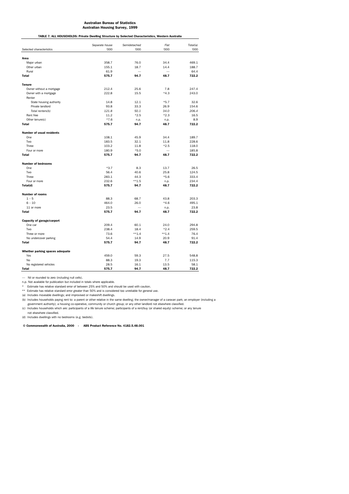|                                  | Separate house | Semidetached | Flat     | Total(a) |  |
|----------------------------------|----------------|--------------|----------|----------|--|
| Selected characteristics         | '000           | '000         | '000     | '000     |  |
| Area                             |                |              |          |          |  |
| Major urban                      | 358.7          | 76.0         | 34.4     | 469.1    |  |
| Other urban                      | 155.1          | 18.7         | 14.4     | 188.7    |  |
| Rural                            | 61.9           |              |          | 64.4     |  |
| <b>Total</b>                     | 575.7          | 94.7         | 48.7     | 722.2    |  |
|                                  |                |              |          |          |  |
| <b>Tenure</b>                    |                |              |          |          |  |
| Owner without a mortgage         | 212.4          | 25.6         | 7.8      | 247.4    |  |
| Owner with a mortgage            | 222.8          | 15.5         | $*4.3$   | 243.0    |  |
| Renter                           |                |              |          |          |  |
| State housing authority          | 14.8           | 12.1         | $*5.7$   | 32.6     |  |
| Private landlord                 | 93.8           | 33.3         | 26.9     | 154.6    |  |
| Total renters(b)                 | 121.8          | 50.1         | 34.0     | 206.4    |  |
| Rent free                        | 11.2           | $*2.5$       | $*2.3$   | 16.5     |  |
| Other tenure(c)                  | $*7.6$         | n.p.         | n.p.     | 8.9      |  |
| <b>Total</b>                     | 575.7          | 94.7         | 48.7     | 722.2    |  |
| <b>Number of usual residents</b> |                |              |          |          |  |
| One                              | 108.1          | 45.9         | 34.4     | 189.7    |  |
| Two                              | 183.5          | 32.1         | 11.8     | 228.6    |  |
| Three                            | 103.2          | 11.8         | $*2.5$   | 118.0    |  |
|                                  |                | $*5.0$       |          |          |  |
| Four or more                     | 180.9          |              |          | 185.8    |  |
| <b>Total</b>                     | 575.7          | 94.7         | 48.7     | 722.2    |  |
| <b>Number of bedrooms</b>        |                |              |          |          |  |
| One                              | $*3.7$         | 8.3          | 13.7     | 26.5     |  |
| Two                              | 56.4           | 40.6         | 25.8     | 124.5    |  |
| Three                            | 283.1          | 44.3         | $*5.6$   | 333.4    |  |
| Four or more                     | 232.6          | $**1.5$      | n.p.     | 234.4    |  |
| Total(d)                         | 575.7          | 94.7         | 48.7     | 722.2    |  |
| <b>Number of rooms</b>           |                |              |          |          |  |
| $1 - 5$                          | 88.3           | 68.7         | 43.8     | 203.3    |  |
| $6 - 10$                         | 464.0          | 26.0         | $*4.6$   | 495.1    |  |
| 11 or more                       | 23.5           |              | n.p.     | 23.8     |  |
| <b>Total</b>                     | 575.7          | 94.7         | 48.7     | 722.2    |  |
|                                  |                |              |          |          |  |
| Capacity of garage/carport       |                |              |          |          |  |
| One car                          | 209.4          | 60.1         | 24.0     | 294.8    |  |
| Two                              | 238.4          | 18.4         | $*2.4$   | 259.5    |  |
| Three or more                    | 73.6           | $***1.4$     | $***1.4$ | 76.4     |  |
| No undercover parking            | 54.4           | 14.9         | 20.9     | 91.4     |  |
| <b>Total</b>                     | 575.7          | 94.7         | 48.7     | 722.2    |  |
| Whether parking spaces adequate  |                |              |          |          |  |
| Yes                              | 459.0          | 59.3         | 27.5     | 548.8    |  |
| No                               | 88.3           | 19.3         | 7.7      | 115.3    |  |
| No registered vehicles           | 28.5           | 16.1         | 13.5     | 58.1     |  |
| <b>Total</b>                     | 575.7          | 94.7         | 48.7     | 722.2    |  |

— Nil or rounded to zero (including null cells).

n.p. Not available for publication but included in totals where applicable.

\* Estimate has relative standard error of between 25% and 50% and should be used with caution.

\*\* Estimate has relative standard error greater than 50% and is considered too unreliable for general use. (a) Includes moveable dwellings; and improvised or makeshift dwellings.

(b) Includes households paying rent to: a parent or other relative in the same dwelling; the owner/manager of a caravan park; an employer (including a

government authority); a housing co-operative, community or church group; or any other landlord not elsewhere classified.<br>(c) Includes households which are: participants of a life tenure scheme; participants of a rent/buy

 not elsewhere classified. (d) Includes dwellings with no bedrooms (e.g. bedsits).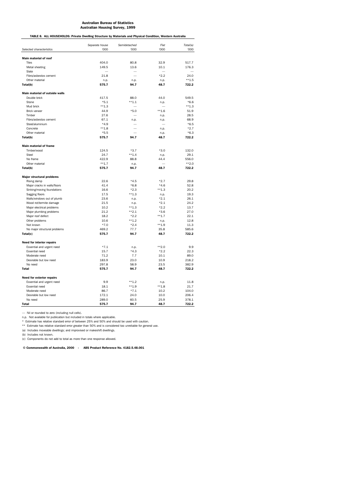TABLE 8. ALL HOUSEHOLDS: Private Dwelling Structure by Materials and Physical Condition, Western Australia

|                                                       | Separate house | Semidetached       | Flat         | Total(a)       |
|-------------------------------------------------------|----------------|--------------------|--------------|----------------|
| Selected characteristics                              | '000           | '000               | '000         | '000           |
| Main material of roof                                 |                |                    |              |                |
| <b>Tiles</b>                                          | 404.0          | 80.8               | 32.9         | 517.7          |
| Metal sheeting                                        | 149.5          | 13.6               | 10.1         | 176.3          |
| Slate                                                 |                |                    |              |                |
| Fibro/asbestos cement                                 | 21.8           |                    | $*2.2$       | 24.0           |
| Other material                                        | n.p.           | n.p.               | n.p.         | $***1.5$       |
| Total(b)                                              | 575.7          | 94.7               | 48.7         | 722.2          |
|                                                       |                |                    |              |                |
| <b>Main material of outside walls</b><br>Double brick | 417.5          | 88.0               | 44.0         | 549.5          |
| Stone                                                 | $*5.1$         | $***1.1$           |              | $*6.6$         |
| Mud brick                                             | $***1.3$       |                    | n.p.         | $**1.3$        |
| <b>Brick veneer</b>                                   | 44.9           | $*5.0$             | $***1.6$     | 51.9           |
| Timber                                                | 27.6           |                    | n.p.         | 28.5           |
| Fibro/asbestos cement                                 | 67.1           | n.p.               | n.p.         | 68.9           |
| Steel/aluminium                                       | $*4.9$         |                    |              | $*6.5$         |
| Concrete                                              | $***1.8$       |                    | n.p.         | $*2.7$         |
| Other material                                        | $*5.5$         |                    | n.p.         | $*6.3$         |
| Total(b)                                              | 575.7          | 94.7               | 48.7         | 722.2          |
|                                                       |                |                    |              |                |
| <b>Main material of frame</b><br>Timber/wood          | 124.5          | $*3.7$             | $*3.0$       | 132.0          |
| Steel                                                 | 24.7           | $***1.4$           | n.p.         | 29.1           |
| No frame                                              | 422.9          | 88.8               | 44.4         | 556.0          |
| Other material                                        | $***1.7$       | n.p.               |              | $***2.0$       |
| Total(b)                                              | 575.7          | 94.7               | 48.7         | 722.2          |
|                                                       |                |                    |              |                |
| <b>Major structural problems</b>                      |                |                    |              |                |
| Rising damp                                           | 22.6           | $*4.5$             | $*2.7$       | 29.8           |
| Major cracks in walls/floors                          | 41.4           | $*6.8$             | $*4.6$       | 52.8           |
| Sinking/moving foundations                            | 16.6           | $*2.3$             | $***1.3$     | 20.2           |
| Sagging floors                                        | 17.5           | $**1.3$            | n.p.         | 19.3           |
| Walls/windows out of plumb                            | 23.6           | n.p.               | $*2.1$       | 26.1           |
| Wood rot/termite damage                               | 21.5           | n.p.               | $*2.1$       | 24.2           |
| Major electrical problems                             | 10.2           | $***1.3$           | $*2.2$       | 13.7           |
| Major plumbing problems                               | 21.2           | $**2.1$            | $*3.6$       | 27.0<br>22.1   |
| Major roof defect                                     | 18.2<br>10.6   | $*2.2$<br>$***1.2$ | $***1.7$     | 12.8           |
| Other problems                                        |                |                    | n.p.         |                |
| Not known                                             | $*7.0$         | $*2.4$             | $***1.9$     | 11.3           |
| No major structural problems<br>Total(c)              | 469.2<br>575.7 | 77.7<br>94.7       | 35.8<br>48.7 | 585.6<br>722.2 |
|                                                       |                |                    |              |                |
| <b>Need for interior repairs</b>                      |                |                    |              |                |
| Essential and urgent need                             | $*7.1$         | n.p.               | $***2.0$     | 9.9            |
| <b>Essential need</b>                                 | 15.7           | $*4.3$             | $*2.2$       | 22.3           |
| Moderate need                                         | 71.2           | 7.7                | 10.1         | 89.0           |
| Desirable but low need                                | 183.9          | 23.0               | 10.9         | 218.2          |
| No need                                               | 297.8          | 58.9               | 23.5         | 382.9          |
| <b>Total</b>                                          | 575.7          | 94.7               | 48.7         | 722.2          |
| Need for exterior repairs                             |                |                    |              |                |
| Essential and urgent need                             | 9.9            | $**1.2$            | n.p.         | 11.8           |
| <b>Essential need</b>                                 | 18.1           | $***1.9$           | $***1.8$     | 21.7           |
| Moderate need                                         | 86.7           | $*7.1$             | 10.2         | 104.0          |
| Desirable but low need                                | 172.1          | 24.0               | 10.0         | 206.4          |
| No need                                               | 289.0          | 60.5               | 25.9         | 378.1          |
| <b>Total</b>                                          | 575.7          | 94.7               | 48.7         | 722.2          |

— Nil or rounded to zero (including null cells).

n.p. Not available for publication but included in totals where applicable.<br>\* Estimate has relative standard error of between 25% and 50% and should be used with caution.<br>\*\* Estimate has relative standard error greater tha

(a) Includes moveable dwellings; and improvised or makeshift dwellings.

(b) Includes not known.

(c) Components do not add to total as more than one response allowed.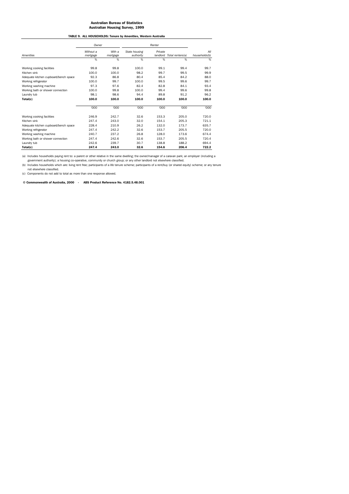TABLE 9. ALL HOUSEHOLDS: Tenure by Amenities, Western Australia

|                                       | Owner                 |                    |                            |                     |                  |                      |  |
|---------------------------------------|-----------------------|--------------------|----------------------------|---------------------|------------------|----------------------|--|
| Amenities                             | Without a<br>mortgage | With a<br>mortgage | State housing<br>authority | Private<br>landlord | Total renters(a) | All<br>households(b) |  |
|                                       | %                     | $\frac{9}{6}$      | %                          | %                   | %                | $\%$                 |  |
| Working cooking facilities            | 99.8                  | 99.8               | 100.0                      | 99.1                | 99.4             | 99.7                 |  |
| Kitchen sink                          | 100.0                 | 100.0              | 98.2                       | 99.7                | 99.5             | 99.9                 |  |
| Adequate kitchen cupboard/bench space | 92.3                  | 86.8               | 80.4                       | 85.4                | 84.2             | 88.0                 |  |
| Working refrigerator                  | 100.0                 | 99.7               | 100.0                      | 99.5                | 99.6             | 99.7                 |  |
| Working washing machine               | 97.3                  | 97.6               | 82.4                       | 82.8                | 84.1             | 93.4                 |  |
| Working bath or shower connection     | 100.0                 | 99.8               | 100.0                      | 99.4                | 99.6             | 99.8                 |  |
| Laundry tub                           | 98.1                  | 98.6               | 94.4                       | 89.8                | 91.2             | 96.2                 |  |
| Total(c)                              | 100.0                 | 100.0              | 100.0                      | 100.0               | 100.0            | 100.0                |  |
|                                       | '000                  | '000               | '000                       | '000                | '000             | '000                 |  |
| Working cooking facilities            | 246.9                 | 242.7              | 32.6                       | 153.3               | 205.0            | 720.0                |  |
| Kitchen sink                          | 247.4                 | 243.0              | 32.0                       | 154.1               | 205.3            | 721.1                |  |
| Adequate kitchen cupboard/bench space | 228.4                 | 210.9              | 26.2                       | 132.0               | 173.7            | 635.7                |  |
| Working refrigerator                  | 247.4                 | 242.2              | 32.6                       | 153.7               | 205.5            | 720.0                |  |
| Working washing machine               | 240.7                 | 237.2              | 26.8                       | 128.0               | 173.6            | 674.4                |  |
| Working bath or shower connection     | 247.4                 | 242.6              | 32.6                       | 153.7               | 205.5            | 720.4                |  |
| Laundry tub                           | 242.6                 | 239.7              | 30.7                       | 138.8               | 188.2            | 694.4                |  |
| Total(c)                              | 247.4                 | 243.0              | 32.6                       | 154.6               | 206.4            | 722.2                |  |

(a) Includes households paying rent to: a parent or other relative in the same dwelling; the owner/manager of a caravan park; an employer (including a<br>government authority); a housing co-operative, community or church grou

not elsewhere classified. (c) Components do not add to total as more than one response allowed.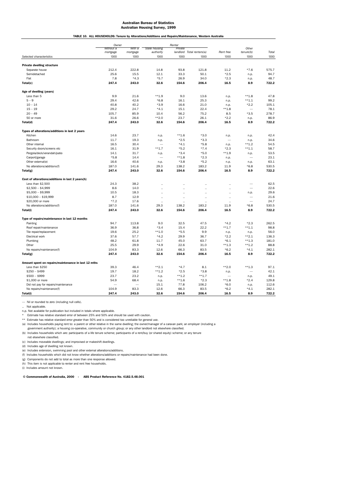| TABLE 10. ALL HOUSEHOLDS: Tenure by Alterations/Additions and Repairs/Maintenance, Western Australia |  |
|------------------------------------------------------------------------------------------------------|--|
|                                                                                                      |  |

|                                                                  | Owner     |                    |                            | Renter               |                           |                      |                          |       |
|------------------------------------------------------------------|-----------|--------------------|----------------------------|----------------------|---------------------------|----------------------|--------------------------|-------|
|                                                                  | Without a | With a<br>mortgage | State housing<br>authority | Private              |                           |                      | Other<br>$t$ enure $(b)$ | Total |
|                                                                  | mortgage  |                    |                            |                      | landlord Total renters(a) | Rent free            |                          |       |
| Selected characteristics                                         | '000      | '000               | '000                       | '000                 | '000                      | '000                 | '000                     | '000  |
| <b>Private dwelling structure</b>                                |           |                    |                            |                      |                           |                      |                          |       |
| Separate house                                                   | 212.4     | 222.8              | 14.8                       | 93.8                 | 121.8                     | 11.2                 | $*7.6$                   | 575.7 |
| Semidetached                                                     | 25.6      | 15.5               | 12.1                       | 33.3                 | 50.1                      | $*2.5$               | n.p.                     | 94.7  |
| Flat                                                             | 7.8       | $*4.3$             | $*5.7$                     | 26.9                 | 34.0                      | $*2.3$               | n.p.                     | 48.7  |
| Total(c)                                                         | 247.4     | 243.0              | 32.6                       | 154.6                | 206.4                     | 16.5                 | 8.9                      | 722.2 |
| Age of dwelling (years)                                          |           |                    |                            |                      |                           |                      |                          |       |
| Less than 5                                                      | 9.9       | 21.6               | $***1.9$                   | 9.0                  | 13.6                      | n.p.                 | $**1.8$                  | 47.8  |
| $5 - 9$                                                          | 29.4      | 42.6               | $*6.8$                     | 16.1                 | 25.3                      | n.p.                 | $***1.1$                 | 99.2  |
| $10 - 14$                                                        | 40.8      | 40.2               | $*3.9$                     | 16.6                 | 21.0                      | n.p.                 | $*2.2$                   | 105.1 |
| $15 - 19$                                                        | 29.2      | 24.7               | $*4.1$                     | 15.1                 | 22.4                      | $***1.8$             | $\overline{\phantom{a}}$ | 78.1  |
| $20 - 49$                                                        | 105.7     | 85.9               | 10.4                       | 56.2                 | 75.2                      | 8.5                  | $*3.5$                   | 278.7 |
| 50 or more                                                       | 31.6      | 26.6               | $***2.0$                   | 23.7                 | 26.1                      | $*2.2$               | n.p.                     | 86.9  |
| Total(d)                                                         | 247.4     | 243.0              | 32.6                       | 154.6                | 206.4                     | 16.5                 | 8.9                      | 722.2 |
| Types of alterations/additions in last 2 years                   |           |                    |                            |                      |                           |                      |                          |       |
| Kitchen                                                          | 14.6      | 23.7               |                            | $***1.6$             | $*3.0$                    |                      |                          | 42.4  |
| Bathroom                                                         | 11.7      | 19.3               | n.p.                       | $*2.5$               | $*3.3$                    | n.p.<br>$\sim$       | n.p.                     | 34.6  |
| Other internal                                                   | 16.5      | 30.4               | n.p.                       | $*4.1$               | $*5.8$                    |                      | n.p.<br>$***1.2$         | 54.5  |
|                                                                  |           | 31.9               | $***1.7$                   | $*5.2$               | $*7.4$                    | n.p.                 |                          | 58.7  |
| Security doors/screens etc                                       | 16.1      |                    |                            |                      |                           | $*2.3$               | $***1.1$                 |       |
| Pergola/deck/verandah/patio                                      | 14.1      | 31.7               | n.p.                       | $*3.4$               | $*5.0$                    | $***1.9$             | n.p.                     | 53.5  |
| Carport/garage                                                   | $*5.8$    | 14.4               | $\overline{\phantom{0}}$   | $***1.8$             | $*2.3$                    | n.p.                 | $\overline{\phantom{0}}$ | 23.1  |
| Other external(e)                                                | 16.6      | 40.6               | n.p.                       | $*3.8$               | $*5.2$                    | n.p.                 | n.p.                     | 63.1  |
| No alterations/additions(f)                                      | 187.0     | 141.6              | 29.3                       | 138.2                | 183.2                     | 11.9                 | $*6.8$                   | 530.5 |
| Total(g)                                                         | 247.4     | 243.0              | 32.6                       | 154.6                | 206.4                     | 16.5                 | 8.9                      | 722.2 |
| Cost of alterations/additions in last 2 years(h)                 |           |                    |                            |                      |                           |                      |                          |       |
| Less than \$2,500                                                | 24.3      | 38.2               | $\ddot{\phantom{a}}$       | Ω,                   | Ω,                        | .,                   | -                        | 62.5  |
| $$2,500 - $4,999$                                                | 8.6       | 14.0               | $\ddot{\phantom{a}}$       | $\ddot{\phantom{a}}$ | $\ddot{\phantom{a}}$      | $\ddot{\phantom{a}}$ | $\overline{\phantom{0}}$ | 22.6  |
| $$5,000 - $9,999$                                                | 10.5      | 18.3               | $\ddot{\phantom{a}}$       |                      |                           | $\ddot{\phantom{a}}$ | n.p.                     | 29.6  |
| $$10,000 - $19,999$                                              | 8.7       | 12.9               | $\ddot{\phantom{a}}$       | $\ddot{\phantom{a}}$ | $\ddot{\phantom{a}}$      | $\ddot{\phantom{a}}$ | $\sim$                   | 21.6  |
| \$20,000 or more                                                 | $*7.2$    | 17.6               | $\ddot{\phantom{a}}$       | $\ddot{\phantom{a}}$ | $\ddotsc$                 | $\ddot{\phantom{0}}$ | $\overline{\phantom{0}}$ | 24.7  |
| No alterations/additions(f)                                      | 187.0     | 141.6              | 29.3                       | 138.2                | 183.2                     | 11.9                 | $*6.8$                   | 530.5 |
| Total(i)                                                         | 247.4     | 243.0              | 32.6                       | 154.6                | 206.4                     | 16.5                 | 8.9                      | 722.2 |
| Type of repairs/maintenance in last 12 months                    |           |                    |                            |                      |                           |                      |                          |       |
| Painting                                                         | 94.7      | 113.8              | 9.0                        | 32.5                 | 47.5                      | $*4.2$               | $*2.3$                   | 262.5 |
| Roof repair/maintenance                                          | 36.9      | 36.8               | $*3.4$                     | 15.4                 | 22.2                      | $***1.7$             | $***1.1$                 | 98.8  |
| Tile repair/replacement                                          | 19.6      | 25.2               | $**1.0$                    | $*5.5$               | 9.9                       | n.p.                 | n.p.                     | 56.0  |
| Electrical work                                                  | 37.6      | 57.7               | $*4.2$                     | 29.9                 | 36.7                      | $*2.2$               | $***2.1$                 | 136.3 |
| Plumbing                                                         | 48.2      | 61.8               | 11.7                       | 45.0                 | 63.7                      | $*6.1$               | $**1.3$                  | 181.0 |
| Other                                                            | 25.5      | 29.9               | $*4.9$                     | 22.6                 | 31.0                      | $**1.3$              | $***1.2$                 | 88.8  |
| No repairs/maintenance(f)                                        | 104.9     | 83.3               | 12.6                       | 66.3                 | 83.5                      | $*6.2$               | $*4.1$                   | 282.1 |
| Total(g)                                                         | 247.4     | 243.0              | 32.6                       | 154.6                | 206.4                     | 16.5                 | 8.9                      | 722.2 |
| Amount spent on repairs/maintenance in last 12 mths              |           |                    |                            |                      |                           |                      |                          |       |
| Less than \$250                                                  | 39.3      | 46.4               | $***2.1$                   | $*4.7$               | 8.1                       | $***2.0$             | $***1.3$                 | 97.1  |
| $$250 - $499$                                                    | 19.7      | 18.2               | $***1.2$                   | $*2.5$               | $*3.8$                    | n.p.                 | -                        | 42.1  |
| $$500 - $999$                                                    | 23.7      | 23.2               | n.p.                       | $**1.2$              | $***1.7$                  |                      |                          | 49.1  |
| \$1,000 or more                                                  | 54.9      | 68.4               |                            | $***1.6$             | $*2.3$                    | $***1.8$             | n.p.<br>$*2.4$           | 129.8 |
|                                                                  |           |                    | n.p.<br>15.1               | 77.8                 | 106.2                     | $*6.0$               |                          | 112.6 |
| Did not pay for repairs/maintenance<br>No repairs/maintenance(f) | 104.9     | 83.3               | 12.6                       | 66.3                 | 83.5                      | $*6.2$               | n.p.<br>$*4.1$           | 282.1 |
| Total(i)                                                         | 247.4     | 243.0              | 32.6                       | 154.6                | 206.4                     | 16.5                 | 8.9                      | 722.2 |
|                                                                  |           |                    |                            |                      |                           |                      |                          |       |

— Nil or rounded to zero (including null cells).

.. Not applicable.

n.p. Not available for publication but included in totals where applicable.

\* Estimate has relative standard error of between 25% and 50% and should be used with caution.

Estimate has relative standard error of between 20% and 30% and 30% and be accelerated too.

(a) Includes households paying rent to: a parent or other relative in the same dwelling; the owner/manager of a caravan park; an employer (including a

government authority); a housing co-operative, community or church group; or any other landlord not elsewhere classified.

(b) Includes households which are: participants of a life tenure scheme; participants of a rent/buy (or shared equity) scheme; or any tenure

 not elsewhere classified. (c) Includes moveable dwellings; and improvised or makeshift dwellings.

(d) Includes age of dwelling not known.

(e) Includes extension, swimming pool and other external alterations/additions. (f) Includes households which did not know whether alterations/additions or repairs/maintenance had been done.

(g) Components do not add to total as more than one response allowed.

(h) This item is not applicable to renter and rent free households.

(i) Includes amount not known.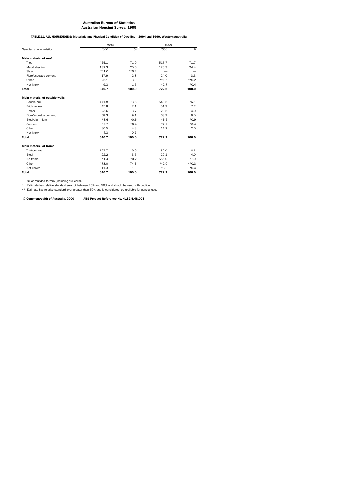TABLE 11. ALL HOUSEHOLDS: Materials and Physical Condition of Dwelling - 1994 and 1999, Western Australia

|                                | 1994    |         | 1999     |         |  |
|--------------------------------|---------|---------|----------|---------|--|
| Selected characteristics       | '000    | %       | '000     | %       |  |
| <b>Main material of roof</b>   |         |         |          |         |  |
| <b>Tiles</b>                   | 455.1   | 71.0    | 517.7    | 71.7    |  |
| Metal sheeting                 | 132.3   | 20.6    | 176.3    | 24.4    |  |
| Slate                          | $**1.0$ | $*$ 0.2 |          |         |  |
| Fibro/asbestos cement          | 17.9    | 2.8     | 24.0     | 3.3     |  |
| Other                          | 25.1    | 3.9     | $***1.5$ | $**0.2$ |  |
| Not known                      | 9.3     | 1.5     | $*2.7$   | $*0.4$  |  |
| <b>Total</b>                   | 640.7   | 100.0   | 722.2    | 100.0   |  |
| Main material of outside walls |         |         |          |         |  |
| Double brick                   | 471.8   | 73.6    | 549.5    | 76.1    |  |
| <b>Brick veneer</b>            | 45.8    | 7.1     | 51.9     | 7.2     |  |
| Timber                         | 23.6    | 3.7     | 28.5     | 4.0     |  |
| Fibro/asbestos cement          | 58.3    | 9.1     | 68.9     | 9.5     |  |
| Steel/aluminium                | $*3.6$  | $*0.6$  | $*6.5$   | $*0.9$  |  |
| Concrete                       | $*2.7$  | $*0.4$  | $*2.7$   | $*0.4$  |  |
| Other                          | 30.5    | 4.8     | 14.2     | 2.0     |  |
| Not known                      | 4.3     | 0.7     |          |         |  |
| <b>Total</b>                   | 640.7   | 100.0   | 722.2    | 100.0   |  |
| <b>Main material of frame</b>  |         |         |          |         |  |
| Timber/wood                    | 127.7   | 19.9    | 132.0    | 18.3    |  |
| Steel                          | 22.2    | 3.5     | 29.1     | 4.0     |  |
| No frame                       | $*1.4$  | $*0.2$  | 556.0    | 77.0    |  |
| Other                          | 478.0   | 74.6    | $***2.0$ | $**0.3$ |  |
| Not known                      | 11.3    | 1.8     | $*3.0$   | $*0.4$  |  |
| <b>Total</b>                   | 640.7   | 100.0   | 722.2    | 100.0   |  |

— Nil or rounded to zero (including null cells).<br>\* Estimate has relative standard error of between 25% and 50% and should be used with caution.<br>\*\* Estimate has relative standard error greater than 50% and is considered too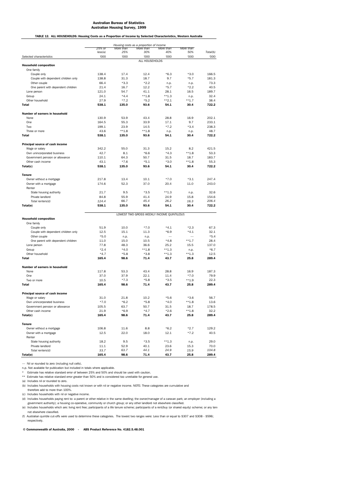TABLE 12. ALL HOUSEHOLDS: Housing Costs as a Proportion of Income by Selected Characteristics, Western Australia

|                                             | Housing costs as a proportion of income |                 |                                             |                  |                  |          |
|---------------------------------------------|-----------------------------------------|-----------------|---------------------------------------------|------------------|------------------|----------|
|                                             | 25% or                                  | More than       | More than                                   | More than        | More than        |          |
|                                             | less(a)                                 | 25%             | 30%                                         | 40%              | 50%              | Total(b) |
| Selected characteristics                    | '000                                    | '000            | '000                                        | '000             | '000             | '000     |
|                                             |                                         |                 | ALL HOUSEHOLDS                              |                  |                  |          |
| <b>Household composition</b><br>One family  |                                         |                 |                                             |                  |                  |          |
| Couple only                                 | 138.4                                   | 17.4            | 12.4                                        | $*6.3$           | $*3.0$           | 166.5    |
| Couple with dependent children only         | 138.8                                   | 31.3            | 18.7                                        | 9.7              | $*5.7$           | 181.3    |
| Other couple                                | 66.4                                    | $*3.3$          | $*2.2$                                      | n.p.             | n.p.             | 73.3     |
| One parent with dependent children          | 21.4                                    | 16.7            | 12.2                                        | $*5.7$           | $*2.2$           | 40.5     |
| Lone person                                 | 121.0                                   | 54.7            | 41.1                                        | 28.1             | 16.5             | 189.7    |
| Group                                       | 24.1                                    | $*4.4$          | $**1.8$                                     | $**1.3$          | n.p.             | 32.4     |
| Other household                             | 27.9                                    | $*7.2$          | $*5.2$                                      | $***2.1$         | $***1.7$         | 38.4     |
| <b>Total</b>                                | 538.1                                   | 135.0           | 93.6                                        | 54.1             | 30.4             | 722.2    |
| <b>Number of earners in household</b>       |                                         |                 |                                             |                  |                  |          |
| None                                        | 130.9                                   | 53.9            | 43.4                                        | 28.8             | 16.9             | 202.1    |
| One                                         | 164.5                                   | 55.3            | 33.9                                        | 17.1             | 9.7              | 233.1    |
| Two                                         | 199.1                                   | 23.9            | 14.5                                        | $*7.2$           | $*3.4$           | 238.3    |
| Three or more                               | 43.6                                    | $***1.8$        | $***1.8$                                    | n.p.             | n.p.             | 48.7     |
| <b>Total</b>                                | 538.1                                   | 135.0           | 93.6                                        | 54.1             | 30.4             | 722.2    |
|                                             |                                         |                 |                                             |                  |                  |          |
| Principal source of cash income             | 342.2                                   | 55.0            | 31.3                                        | 15.2             | 8.2              | 421.5    |
| Wage or salary                              |                                         |                 |                                             |                  |                  |          |
| Own unincorporated business                 | 42.7                                    | 8.1             | $*6.6$                                      | $*4.3$           | $**1.8$          | 53.3     |
| Government pension or allowance             | 110.1                                   | 64.3            | 50.7                                        | 31.5             | 18.7<br>$***1.8$ | 183.7    |
| Other cash income                           | 43.1                                    | $*7.6$<br>135.0 | $*5.1$                                      | $*3.0$           |                  | 55.3     |
| Total(c)                                    | 538.1                                   |                 | 93.6                                        | 54.1             | 30.4             | 722.2    |
| <b>Tenure</b>                               |                                         |                 |                                             |                  |                  |          |
| Owner without a mortgage                    | 217.8                                   | 13.4            | 10.1                                        | $*7.0$           | $*3.1$           | 247.4    |
| Owner with a mortgage<br>Renter             | 174.6                                   | 52.3            | 37.0                                        | 20.4             | 11.0             | 243.0    |
| State housing authority                     | 21.7                                    | 9.5             | $*3.5$                                      | $**1.3$          | n.p.             | 32.6     |
| Private landlord                            | 84.8                                    | 55.9            | 41.4                                        | 24.9             | 15.8             | 154.6    |
| Total renters(d)                            | 124.4                                   | 66.7            | 45.4                                        | 26.2             | 16.3             | 206.4    |
| Total(e)                                    | 538.1                                   | 135.0           | 93.6                                        | 54.1             | 30.4             | 722.2    |
|                                             |                                         |                 |                                             |                  |                  |          |
| <b>Household composition</b>                |                                         |                 | LOWEST TWO GROSS WEEKLY INCOME QUINTILES(f) |                  |                  |          |
| One family                                  |                                         |                 |                                             |                  |                  |          |
| Couple only                                 | 51.9                                    | 10.0            | $*7.0$                                      | $*4.1$           | $*2.3$           | 67.3     |
| Couple with dependent children only         | 12.5                                    | 15.1            | 11.3                                        | $*6.9$           | $*4.1$           | 32.1     |
| Other couple                                | $*5.0$                                  | n.p.            | n.p.                                        |                  |                  | $*5.4$   |
| One parent with dependent children          | 11.0                                    | 15.0            | 10.5                                        | $*4.8$           | $***1.7$         | 28.4     |
| Lone person                                 | 77.8                                    | 48.3            | 36.6                                        | 25.2             | 15.5             | 137.0    |
| Group                                       | $*2.4$                                  | $*4.0$          | $***1.8$                                    | $**1.3$          | n.p.             | $*6.7$   |
| Other household                             | $*4.7$                                  | $*5.8$          | $*3.8$                                      | $***1.3$         | $**1.3$          | 12.5     |
| <b>Total</b>                                | 165.4                                   | 98.6            | 71.4                                        | 43.7             | 25.8             | 289.4    |
| Number of earners in household              |                                         |                 |                                             |                  |                  |          |
| None                                        | 117.8                                   | 53.3            | 43.4                                        | 28.8             | 16.9             | 187.3    |
| One                                         | 37.0                                    | 37.9            | 22.1                                        | 11.4             | $*7.0$           | 79.9     |
|                                             | 10.5                                    | $*7.3$          | $*5.8$                                      | $*3.5$           | $***1.9$         | 22.3     |
| Two or more<br><b>Total</b>                 | 165.4                                   | 98.6            | 71.4                                        | 43.7             | 25.8             | 289.4    |
|                                             |                                         |                 |                                             |                  |                  |          |
| Principal source of cash income             |                                         |                 |                                             |                  |                  |          |
| Wage or salary                              | 31.0                                    | 21.8            | 10.2                                        | $*5.6$           | $*3.6$           | 56.7     |
| Own unincorporated business                 | $*7.0$                                  | $*6.2$          | $*5.8$                                      | $*4.0$           | $***1.8$         | 13.6     |
| Government pension or allowance             | 105.5                                   | 63.7            | 50.7                                        | 31.5             | 18.7             | 178.5    |
| Other cash income                           | 21.9                                    | $*6.9$          | $*4.7$                                      | $*2.6$           | $***1.8$         | 32.2     |
| Total(c)                                    | 165.4                                   | 98.6            | 71.4                                        | 43.7             | 25.8             | 289.4    |
| <b>Tenure</b>                               |                                         |                 |                                             |                  |                  |          |
| Owner without a mortgage                    | 106.8                                   | 11.6            | 8.8                                         | $*6.2$           | $*2.7$           | 129.2    |
| Owner with a mortgage                       | 12.5                                    | 22.0            | 18.0                                        | 12.1             | $*7.2$           | 40.5     |
| Renter                                      |                                         |                 |                                             |                  |                  | 29.0     |
| State housing authority<br>Private landlord | 18.2<br>11.1                            | 9.5<br>52.9     | $*3.5$<br>40.1                              | $***1.3$<br>23.6 | n.p.<br>15.3     | 70.0     |
| Total renters(d)                            | 33.7                                    | 63.7            | 44.1                                        | 24.9             | 15.9             | 104.8    |
| Total(e)                                    | 165.4                                   | 98.6            | 71.4                                        | 43.7             | 25.8             | 289.4    |

— Nil or rounded to zero (including null cells).

n.p. Not available for publication but included in totals where applicable.

\* Estimate has relative standard error of between 25% and 50% and should be used with caution.

**Estimate has relative standard error greater than 50% and is considered too unreliable for general use.** 

(a) Includes nil or rounded to zero.

(b) Includes households with housing costs not known or with nil or negative income. NOTE: These categories are cumulative and

therefore add to more than 100%.

(c) Includes households with nil or negative income.

(d) Includes households paying rent to: a parent or other relative in the same dwelling; the owner/manager of a caravan park; an employer (including a government authority); a housing co-operative, community or church group; or any other landlord not elsewhere classified.

(e) Includes households which are: living rent free; participants of a life tenure scheme; participants of a rent/buy (or shared equity) scheme; or any tenu not elsewhere classified.

(f) Australian quintile cut-offs were used to determine these categories. The lowest two ranges were: Less than or equal to \$307 and \$308 - \$596; respectively.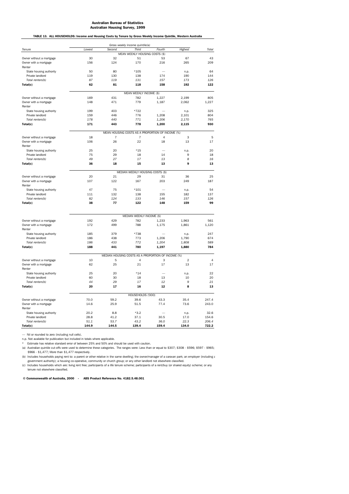TABLE 13. ALL HOUSEHOLDS: Income and Housing Costs by Tenure by Gross Weekly Income Quintile, Western Australia

|                                 |                                                    |        | Gross weekly income quintile(a)                  |         |                |         |  |  |  |
|---------------------------------|----------------------------------------------------|--------|--------------------------------------------------|---------|----------------|---------|--|--|--|
| Tenure                          | Lowest                                             | Second | Third                                            | Fourth  | Highest        | Total   |  |  |  |
|                                 |                                                    |        | MEAN WEEKLY HOUSING COSTS (\$)                   |         |                |         |  |  |  |
| Owner without a mortgage        | 30                                                 | 32     | 51                                               | 53      | 67             | 43      |  |  |  |
| Owner with a mortgage<br>Renter | 156                                                | 124    | 170                                              | 216     | 265            | 209     |  |  |  |
| State housing authority         | 50                                                 | 80     | $*105$                                           |         | n.p.           | 64      |  |  |  |
| Private landlord                | 119                                                | 130    | 138                                              | 174     | 190            | 144     |  |  |  |
| Total renters(b)                | 87                                                 | 119    | 131                                              | 157     | 173            | 126     |  |  |  |
| Total(c)                        | 62                                                 | 81     | 118                                              | 158     | 192            | 122     |  |  |  |
|                                 |                                                    |        | MEAN WEEKLY INCOME (\$)                          |         |                |         |  |  |  |
| Owner without a mortgage        | 169                                                | 431    | 782                                              | 1,227   | 2,199          | 805     |  |  |  |
| Owner with a mortgage<br>Renter | 148                                                | 471    | 779                                              | 1,187   | 2,062          | 1,227   |  |  |  |
| State housing authority         | 199                                                | 403    | *722                                             |         | n.p.           | 325     |  |  |  |
| Private landlord                | 159                                                | 446    | 776                                              | 1,208   | 2,101          | 804     |  |  |  |
| Total renters(b)                | 178                                                | 440    | 771                                              | 1,206   | 2,170          | 765     |  |  |  |
| Total(c)                        | 171                                                | 443    | 778                                              | 1,200   | 2,115          | 930     |  |  |  |
|                                 |                                                    |        | MEAN HOUSING COSTS AS A PROPORTION OF INCOME (%) |         |                |         |  |  |  |
| Owner without a mortgage        | 18                                                 | 7      | $\overline{7}$<br>22                             | 4<br>18 | 3              | 5<br>17 |  |  |  |
| Owner with a mortgage<br>Renter | 106                                                | 26     |                                                  |         | 13             |         |  |  |  |
| State housing authority         | 25                                                 | 20     | $*15$                                            |         | n.p.           | 20      |  |  |  |
| Private landlord                | 75                                                 | 29     | 18                                               | 14      | 9              | 18      |  |  |  |
| Total renters(b)                | 49                                                 | 27     | 17                                               | 13      | 8              | 16      |  |  |  |
| Total(c)                        | 36                                                 | 18     | 15                                               | 13      | 9              | 13      |  |  |  |
|                                 |                                                    |        | MEDIAN WEEKLY HOUSING COSTS (\$)                 |         |                |         |  |  |  |
| Owner without a mortgage        | 20                                                 | 21     | 29                                               | 31      | 36             | 25      |  |  |  |
| Owner with a mortgage           | 107                                                | 122    | 167                                              | 203     | 249            | 187     |  |  |  |
| Renter                          |                                                    |        |                                                  |         |                |         |  |  |  |
| State housing authority         | 47                                                 | 75     | $*101$                                           |         | n.p.           | 54      |  |  |  |
| Private landlord                | 111                                                | 132    | 138                                              | 155     | 182            | 137     |  |  |  |
| Total renters(b)                | 82                                                 | 124    | 133                                              | 146     | 157            | 126     |  |  |  |
| Total(c)                        | 38                                                 | 77     | 122                                              | 148     | 159            | 99      |  |  |  |
|                                 |                                                    |        | MEDIAN WEEKLY INCOME (\$)                        |         |                |         |  |  |  |
| Owner without a mortgage        | 192                                                | 429    | 782                                              | 1,233   | 1,963          | 561     |  |  |  |
| Owner with a mortgage<br>Renter | 172                                                | 499    | 788                                              | 1,175   | 1,861          | 1,120   |  |  |  |
| State housing authority         | 185                                                | 379    | *738                                             |         | n.p.           | 247     |  |  |  |
| Private landlord                | 186                                                | 438    | 773                                              | 1,206   | 1,790          | 674     |  |  |  |
| Total renters(b)                | 186                                                | 433    | 772                                              | 1,204   | 1,808          | 589     |  |  |  |
| Total(c)                        | 188                                                | 441    | 780                                              | 1,197   | 1,880          | 784     |  |  |  |
|                                 | MEDIAN HOUSING COSTS AS A PROPORTION OF INCOME (%) |        |                                                  |         |                |         |  |  |  |
| Owner without a mortgage        | 10                                                 | 5      | 4                                                | 3       | $\overline{2}$ | 4       |  |  |  |
| Owner with a mortgage<br>Renter | 62                                                 | 25     | 21                                               | 17      | 13             | 17      |  |  |  |
| State housing authority         | 25                                                 | 20     | $*14$                                            |         | n.p.           | 22      |  |  |  |
| Private landlord                | 60                                                 | 30     | 18                                               | 13      | 10             | 20      |  |  |  |
| Total renters(b)                | 44                                                 | 29     | 17                                               | 12      | 9              | 21      |  |  |  |
| Total(c)                        | 20                                                 | 17     | 16                                               | 12      | 8              | 13      |  |  |  |
|                                 |                                                    |        | HOUSEHOLDS ('000)                                |         |                |         |  |  |  |
| Owner without a mortgage        | 70.0                                               | 59.2   | 39.6                                             | 43.3    | 35.4           | 247.4   |  |  |  |
| Owner with a mortgage<br>Renter | 14.6                                               | 25.9   | 51.5                                             | 77.4    | 73.6           | 243.0   |  |  |  |
| State housing authority         | 20.2                                               | 8.8    | $*3.2$                                           |         | n.p.           | 32.6    |  |  |  |
| Private landlord                | 28.8                                               | 41.2   | 37.1                                             | 30.5    | 17.0           | 154.6   |  |  |  |
| Total renters(b)                | 51.1                                               | 53.7   | 43.2                                             | 36.0    | 22.3           | 206.4   |  |  |  |
| Total(c)                        | 144.9                                              | 144.5  | 139.4                                            | 159.4   | 134.0          | 722.2   |  |  |  |

— Nil or rounded to zero (including null cells).

n.p. Not available for publication but included in totals where applicable.

\* Estimate has relative standard error of between 25% and 50% and should be used with caution.

(a) Australian quintile cut-offs were used to determine these categories. The ranges were: Less than or equal to \$307; \$308 - \$596; \$597 - \$965; \$966 - \$1,477; More than \$1,477 respectively.

(b) Includes households paying rent to: a parent or other relative in the same dwelling; the owner/manager of a caravan park; an employer (including a<br>government authority); a housing co-operative, community or church grou

(c) Includes households which are: living rent free; participants of a life tenure scheme; participants of a rent/buy (or shared equity) scheme; or any tenure not elsewhere classified.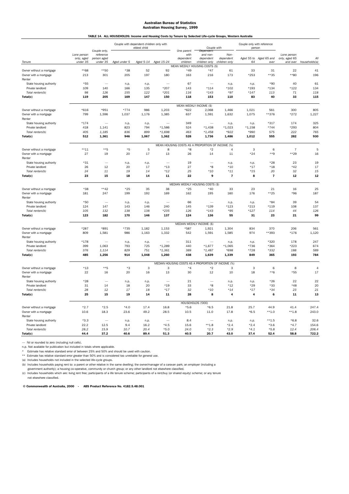# Australian Bureau of Statistics Australian Housing Survey, 1999 TABLE 14. ALL HOUSEHOLDS: Income and Housing Costs by Tenure by Selected Life-cycle Groups, Western Australia

|                                                   |                           | Couple only,             |                 | Couple with dependent children only with<br>eldest child |                          | One parent                                         | Couple with<br>Dependent    |                         | Couple only with reference<br>person |                         |                              |                |
|---------------------------------------------------|---------------------------|--------------------------|-----------------|----------------------------------------------------------|--------------------------|----------------------------------------------------|-----------------------------|-------------------------|--------------------------------------|-------------------------|------------------------------|----------------|
|                                                   | Lone person<br>only, aged | reference<br>person aged |                 |                                                          |                          | with<br>dependent                                  | and non-<br>dependent       | Non-<br>dependent       | Aged 55 to                           | Aged 65 and             | Lone person<br>only, aged 65 | All            |
| Tenure                                            | under 35                  | under 35                 | Aged under 5    |                                                          | Aged 5-14 Aged 15-24     | children                                           | children only               | children only           | 64                                   | over                    | and over                     | households(a)  |
| Owner without a mortgage                          | **68                      | $***50$                  | $*38$           | 52                                                       | 92                       | MEAN WEEKLY HOUSING COSTS (\$)<br>$*49$            | $*47$                       | 61                      | 33                                   | 31                      | 22                           | 41             |
| Owner with a mortgage                             | 213                       | 301                      | 205             | 197                                                      | 180                      | 163                                                | 216                         | 173                     | $*253$                               | **35                    | **80                         | 196            |
| Renter                                            |                           |                          |                 |                                                          |                          |                                                    |                             |                         |                                      |                         |                              |                |
| State housing authority                           | $*55$                     |                          | n.p.            | n.p                                                      |                          | 67                                                 |                             | n.p.                    | n.p.                                 | $*90$                   | 40                           | 61             |
| Private landlord                                  | 109                       | 140                      | 166             | 135                                                      | $*207$                   | 143                                                | $*114$                      | $*102$                  | *193                                 | $*134$                  | *122                         | 134            |
| Total renters(b)                                  | 98<br>119                 | 126<br>205               | 155<br>169      | 122<br>147                                               | $*201$<br>150            | 116<br>118                                         | $*143$<br>153               | $*97$<br>110            | $*147$<br>83                         | 113<br>40               | $71\,$<br>33                 | 118<br>115     |
| Total(c)                                          |                           |                          |                 |                                                          |                          |                                                    |                             |                         |                                      |                         |                              |                |
|                                                   |                           |                          |                 |                                                          |                          |                                                    | MEAN WEEKLY INCOME (\$)     |                         |                                      |                         |                              |                |
| Owner without a mortgage<br>Owner with a mortgage | $*616$<br>799             | *951<br>1,596            | $*774$<br>1,037 | 986<br>1,176                                             | 1,203<br>1,385           | $*622$<br>637                                      | 2,068<br>1,591              | 1,466<br>1,632          | 1,021<br>1,075                       | 561<br>**376            | 300<br>*272                  | 805<br>1,227   |
| Renter                                            |                           |                          |                 |                                                          |                          |                                                    |                             |                         |                                      |                         |                              |                |
| State housing authority                           | $*174$                    |                          | n.p.            | n.p.                                                     |                          | 349                                                |                             | n.p.                    | n.p.                                 | $*317$                  | 174                          | 325            |
| Private landlord                                  | 418                       | 1,141                    | 823             | 794                                                      | $*1,586$                 | 524                                                | $*1,438$                    | $*1,023$                | $*1,158$                             | $*744$                  | *293                         | 804            |
| Total renters(b)                                  | 405                       | 1,185                    | 836             | 899                                                      | $*1,698$                 | 463                                                | $*1,458$                    | *922                    | *990                                 | 575                     | 222                          | 765            |
| Total(c)                                          | 512                       | 1,361                    | 946             | 1,067                                                    | 1,362                    | 528                                                | 1,736                       | 1,486                   | 1,012                                | 555                     | 282                          | 930            |
|                                                   |                           |                          |                 |                                                          |                          | MEAN HOUSING COSTS AS A PROPORTION OF INCOME (%)   |                             |                         |                                      |                         |                              |                |
| Owner without a mortgage                          | $***11$                   | $**5$                    | $*5$            | 5                                                        | 8                        | *8                                                 | $*_{2}$                     | 4                       | 3                                    | 6                       | $\overline{7}$               | 5              |
| Owner with a mortgage                             | 27                        | 19                       | 20              | 17                                                       | 13                       | 26                                                 | 14                          | 11                      | $*24$                                | **9                     | $***29$                      | 16             |
| Renter                                            |                           |                          |                 |                                                          |                          |                                                    |                             |                         |                                      |                         |                              |                |
| State housing authority                           | $*31$                     |                          | n.p.            | n.p.                                                     |                          | 19                                                 | $*8$                        | n.p.                    | n.p.                                 | $*28$                   | 23                           | 19             |
| Private landlord<br>Total renters(b)              | 26<br>24                  | 12<br>11                 | 20<br>19        | 17<br>14                                                 | $*13$<br>$*12$           | 27<br>25                                           | $*10$                       | $*10$<br>$*11$          | *17<br>$*15$                         | *18<br>20               | $*42$<br>32                  | 17<br>15       |
| Total(c)                                          | 23                        | 15                       | 18              | 14                                                       | 11                       | 22                                                 | 9                           | $\overline{\mathbf{r}}$ | 8                                    | $\overline{\mathbf{z}}$ | 12                           | 12             |
|                                                   |                           |                          |                 |                                                          |                          |                                                    |                             |                         |                                      |                         |                              |                |
| Owner without a mortgage                          | $*38$                     | $***42$                  | $*25$           | 35                                                       | 38                       | MEDIAN WEEKLY HOUSING COSTS (\$)<br>$*25$          | $*40$                       | 33                      | 23                                   | 21                      | 16                           | 25             |
| Owner with a mortgage                             | 181                       | 247                      | 199             | 192                                                      | 169                      | 162                                                | 195                         | 160                     | 176                                  | $***25$                 | *96                          | 187            |
| Renter                                            |                           |                          |                 |                                                          |                          |                                                    |                             |                         |                                      |                         |                              |                |
| State housing authority                           | $*50$                     |                          | n.p.            | n.p.                                                     | $\overline{\phantom{0}}$ | 66                                                 | $\overline{\phantom{0}}$    | n.p.                    | n.p.                                 | $*84$                   | 39                           | 54             |
| Private landlord                                  | 124                       | 147                      | 143             | 146                                                      | 240                      | 145                                                | *139                        | *123                    | $*213$                               | $*119$                  | 108                          | 137            |
| Total renters(b)                                  | 105                       | 132                      | 138             | 138                                                      | $*235$                   | 126                                                | $*143$                      | $*95$                   | $*127$                               | 114                     | 44                           | 126            |
| Total(c)                                          | 123                       | 182                      | 170             | 146                                                      | 137                      | 124                                                | 136                         | 55                      | 31                                   | 23                      | 21                           | 99             |
|                                                   |                           |                          |                 |                                                          |                          |                                                    | MEDIAN WEEKLY INCOME (\$)   |                         |                                      |                         |                              |                |
| Owner without a mortgage                          | $*287$                    | *891                     | *735            | 1,182                                                    | 1,153                    | *587                                               | 1,921                       | 1,304                   | 834                                  | 370                     | 206                          | 561            |
| Owner with a mortgage<br>Renter                   | 809                       | 1,581                    | 986             | 1,163                                                    | 1,332                    | 542                                                | 1,591                       | 1,585                   | 974                                  | **393                   | $*176$                       | 1,120          |
| State housing authority                           | $*178$                    |                          | n.p.            | n.p.                                                     |                          | 311                                                | $\overline{\phantom{a}}$    | n.p.                    | n.p.                                 | *320                    | 178                          | 247            |
| Private landlord                                  | 399                       | 1,063                    | 793             | 725                                                      | $*1,289$                 | 440                                                | $*1,677$                    | $*1,065$                | *736                                 | *364                    | *223                         | 674            |
| Total renters(b)                                  | 376                       | 1,114                    | 829             | 751                                                      | $*1,361$                 | 389                                                | $*1,487$                    | *698                    | *728                                 | *332                    | 188                          | 589            |
| Total(c)                                          | 485                       | 1,256                    | 914             | 1,048                                                    | 1,260                    | 438                                                | 1,639                       | 1,339                   | 849                                  | 365                     | 193                          | 784            |
|                                                   |                           |                          |                 |                                                          |                          | MEDIAN HOUSING COSTS AS A PROPORTION OF INCOME (%) |                             |                         |                                      |                         |                              |                |
| Owner without a mortgage                          | $*13$                     | $***5$                   | *3              | 3                                                        | 3                        | *4                                                 | $*2$                        | 3                       | 3                                    | 6                       | 8                            | $\overline{4}$ |
| Owner with a mortgage                             | 22                        | 16                       | 20              | 16                                                       | 13                       | 30                                                 | 12                          | 10                      | 18                                   | $***6$                  | *55                          | 17             |
| Renter                                            | $*28$                     |                          |                 |                                                          |                          | 21                                                 |                             |                         |                                      | $*26$                   | 22                           | 22             |
| State housing authority<br>Private landlord       | 31                        | 14                       | n.p.<br>18      | n.p.<br>20                                               | $*19$                    | 33                                                 | $*8$                        | n.p.<br>$*12$           | n.p.<br>*29                          | $*33$                   | *48                          | 20             |
| Total renters(b)                                  | 28                        | 12                       | 17              | 18                                                       | $*17$                    | 32                                                 | $*10$                       | $*14$                   | $*17$                                | $*34$                   | 23                           | 21             |
| Total(c)                                          | 25                        | 15                       | 19              | 14                                                       | 11                       | 28                                                 | 8                           | 4                       | 4                                    | 6                       | 11                           | 13             |
|                                                   |                           |                          |                 |                                                          |                          |                                                    |                             |                         |                                      |                         |                              |                |
| Owner without a mortgage                          | $*2.7$                    | $*2.5$                   | $*4.0$          | 17.4                                                     | 16.8                     | $*5.6$                                             | HOUSEHOLDS ('000)<br>$*6.5$ | 21.8                    | 25.7                                 | 44.9                    | 41.4                         | 247.4          |
| Owner with a mortgage                             | 10.6                      | 18.3                     | 23.6            | 49.2                                                     | 28.5                     | 10.5                                               | 11.0                        | 17.8                    | $*6.5$                               | $***1.0$                | $***1.8$                     | 243.0          |
| Renter                                            |                           |                          |                 |                                                          |                          |                                                    |                             |                         |                                      |                         |                              |                |
| State housing authority                           | $*3.3$                    |                          | n.p.            | n.p.                                                     |                          | 8.4                                                |                             | n.p.                    | n.p.                                 | $***1.5$                | $*6.8$                       | 32.6           |
| Private landlord                                  | 22.2                      | 12.5                     | 9.4             | 16.2                                                     | $*4.5$                   | 15.6                                               | $***1.8$                    | $*2.4$                  | $*2.4$                               | $*3.6$                  | $*4.7$                       | 154.6          |
| Total renters(b)                                  | 28.2                      | 15.9                     | 10.7            | 20.4                                                     | $*5.0$                   | 24.0                                               | $*2.3$                      | $*2.9$                  | $*4.1$                               | $*5.8$                  | 12.4                         | 206.4          |
| Total(c)                                          | 44.4                      | 37.2                     | 40.6            | 89.4                                                     | 51.3                     | 40.5                                               | 20.7                        | 43.0                    | 37.4                                 | 52.4                    | 58.8                         | 722.2          |

— Nil or rounded to zero (including null cells).

n.p. Not available for publication but included in totals where applicable.<br>\* Estimate has relative standard error of between 25% and 50% and should be used with caution.<br>\*\* Estimate has relative standard error greate

(a) Includes households not included in the selected life-cycle groups. (b) Includes households paying rent to: a parent or other relative in the same dwelling; the owner/manager of a caravan park; an employer (including a

government authority); a housing co-operative, community or church group; or any other landlord not elsewhere classified.

(c) Includes households which are: living rent free; participants of a life tenure scheme; participants of a rent/buy (or shared equity) scheme; or any tenure notates notations will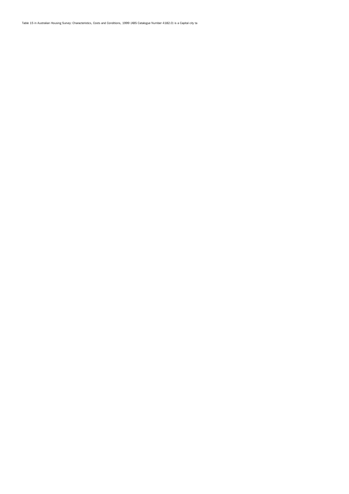Table 15 in Australian Housing Survey: Characteristics, Costs and Conditions, 1999 (ABS Catalogue Number 4182.0) is a Capital city ta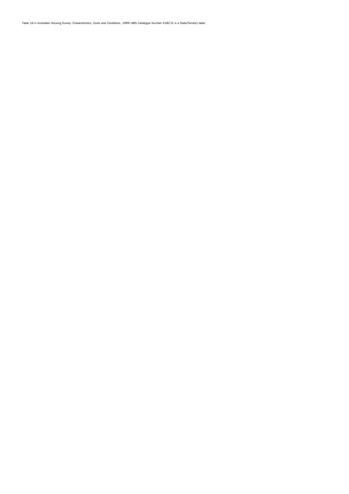Table 16 in Australian Housing Survey: Characteristics, Costs and Conditions, 1999 (ABS Catalogue Number 4182.0) is a State/Territory table.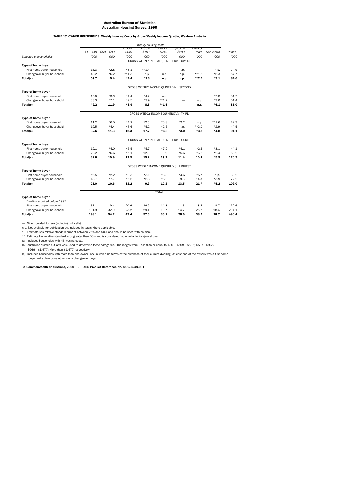# Australian Bureau of Statistics Australian Housing Survey, 1999 TABLE 17. OWNER HOUSEHOLDS: Weekly Housing Costs by Gross Weekly Income Quintile, Western Australia

|                                                          | Weekly housing costs                     |             |          |                                         |              |          |          |                |          |  |
|----------------------------------------------------------|------------------------------------------|-------------|----------|-----------------------------------------|--------------|----------|----------|----------------|----------|--|
|                                                          |                                          |             | $$100-$  | $$150-$                                 | $$200 -$     | $$250 -$ | \$300 or |                |          |  |
|                                                          | $$1 - $49$                               | $$50 - $99$ | \$149    | \$199                                   | \$249        | \$299    | more     | Not known      | Total(a) |  |
| Selected characteristics                                 | '000                                     | '000        | '000     | 000'                                    | '000         | 000'     | '000     | '000           | '000     |  |
|                                                          |                                          |             |          | GROSS WEEKLY INCOME QUINTILE(b): LOWEST |              |          |          |                |          |  |
| Type of home buyer                                       |                                          |             |          |                                         |              |          |          |                |          |  |
| First home buyer household                               | 16.3                                     | $*2.8$      | $*3.1$   | $***1.4$                                |              | n.p.     |          | n.p.           | 24.9     |  |
| Changeover buyer household                               | 40.2                                     | $*6.2$      | $***1.3$ | n.p.                                    | n.p.         | n.p.     | $***1.6$ | $*6.3$         | 57.7     |  |
| Total(c)                                                 | 57.7                                     | 9.4         | $*4.4$   | $*2.3$                                  | n.p.         | n.p.     | $***2.0$ | $*7.1$         | 84.6     |  |
|                                                          |                                          |             |          | GROSS WEEKLY INCOME QUINTILE(b): SECOND |              |          |          |                |          |  |
| Type of home buyer                                       |                                          |             |          |                                         |              |          |          |                |          |  |
| First home buyer household                               | 15.0                                     | $*3.9$      | $*4.4$   | $*4.2$                                  | n.p.         |          |          | $*2.8$         | 31.2     |  |
| Changeover buyer household                               | 33.3                                     | $*7.1$      | $*2.5$   | $*3.9$                                  | $***1.2$     |          | n.p.     | $*3.0$         | 51.4     |  |
| Total(c)                                                 | 49.2                                     | 11.9        | $*6.9$   | 8.5                                     | $***1.6$     |          | n.p.     | $*6.1$         | 85.0     |  |
|                                                          | GROSS WEEKLY INCOME QUINTILE(b): THIRD   |             |          |                                         |              |          |          |                |          |  |
| Type of home buyer                                       |                                          |             |          |                                         |              |          |          |                |          |  |
| First home buyer household                               | 11.2                                     | $*6.5$      | $*4.2$   | 12.5                                    | $*3.8$       | $*2.2$   | n.p.     | $***1.6$       | 42.3     |  |
| Changeover buyer household                               | 19.5                                     | $*4.4$      | $*7.6$   | $*5.2$                                  | $*2.5$       | n.p.     | $***2.0$ | $*2.9$         | 44.5     |  |
| Total(c)                                                 | 32.6                                     | 11.3        | 12.3     | 17.7                                    | $*6.3$       | $*3.0$   | $*3.2$   | $*4.8$         | 91.1     |  |
|                                                          |                                          |             |          | GROSS WEEKLY INCOME QUINTILE(b): FOURTH |              |          |          |                |          |  |
| Type of home buyer                                       |                                          |             |          |                                         |              |          |          |                |          |  |
| First home buyer household                               | 12.1                                     | $*4.0$      | $*5.5$   | $*5.7$                                  | $*7.2$       | $*4.1$   | $*2.5$   | $*3.1$         | 44.1     |  |
| Changeover buyer household                               | 20.2                                     | $*6.6$      | $*5.1$   | 12.8                                    | 8.2          | $*5.6$   | $*6.8$   | $*2.4$         | 68.2     |  |
| Total(c)                                                 | 32.6                                     | 10.9        | 12.5     | 19.2                                    | 17.2         | 11.4     | 10.8     | $*5.5$         | 120.7    |  |
|                                                          | GROSS WEEKLY INCOME QUINTILE(b): HIGHEST |             |          |                                         |              |          |          |                |          |  |
|                                                          |                                          |             |          |                                         |              |          |          |                |          |  |
| Type of home buyer                                       | $*6.5$                                   | $*2.2$      | $*3.3$   | $*3.1$                                  | $*3.3$       | $*4.6$   | $*5.7$   |                | 30.2     |  |
| First home buyer household<br>Changeover buyer household | 18.7                                     | $*7.7$      | $*6.6$   | $*6.3$                                  | $*6.0$       | 8.3      | 14.8     | n.p.<br>$*3.9$ | 72.2     |  |
|                                                          |                                          | 10.6        | 11.2     | 9.9                                     | 10.1         |          |          | $*5.2$         | 109.0    |  |
| Total(c)                                                 | 26.0                                     |             |          |                                         |              | 13.5     | 21.7     |                |          |  |
|                                                          |                                          |             |          |                                         | <b>TOTAL</b> |          |          |                |          |  |
| <b>Type of home buyer</b>                                |                                          |             |          |                                         |              |          |          |                |          |  |
| Dwelling acquired before 1997                            |                                          |             |          |                                         |              |          |          |                |          |  |
| First home buyer household                               | 61.1                                     | 19.4        | 20.6     | 26.9                                    | 14.8         | 11.3     | 8.5      | 8.7            | 172.6    |  |
| Changeover buyer household                               | 131.9                                    | 32.0        | 23.2     | 29.1                                    | 18.7         | 14.7     | 25.7     | 18.4           | 294.1    |  |
| Total(c)                                                 | 198.1                                    | 54.2        | 47.4     | 57.6                                    | 36.1         | 28.6     | 38.2     | 28.7           | 490.4    |  |

— Nil or rounded to zero (including null cells). n.p. Not available for publication but included in totals where applicable.

\* Estimate has relative standard error of between 25% and 50% and should be used with caution. \*\* Estimate has relative standard error greater than 50% and is considered too unreliable for general use.

(a) Includes households with nil housing costs.

(b) Australian quintile cut-offs were used to determine these categories. The ranges were: Less than or equal to \$307; \$308 - \$596; \$597 - \$965;

 \$966 - \$1,477; More than \$1,477 respectively. (c) Includes households with more than one owner and in which (in terms of the purchase of their current dwelling) at least one of the owners was a first home buyer and at least one other was a changeover buyer.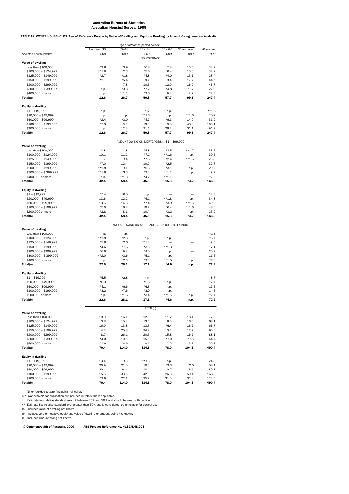TABLE 18. OWNER HOUSEHOLDS: Age of Reference Person by Value of Dwelling and Equity in Dwelling by Amount Owing, Western Australia

|                                              | Age of reference person (years) |                  |                                                |                    |                  |                    |  |  |
|----------------------------------------------|---------------------------------|------------------|------------------------------------------------|--------------------|------------------|--------------------|--|--|
|                                              | Less than 35                    | 35-44            | $45 - 54$                                      | $55 - 64$          | 65 and over      | All owners         |  |  |
| Selected characteristics                     | '000                            | '000             | '000<br>NO MORTGAGE                            | '000               | '000             | '000               |  |  |
| Value of dwelling                            |                                 |                  |                                                |                    |                  |                    |  |  |
| Less than \$100,000                          | $*3.8$                          | $*3.9$           | $*6.8$                                         | 7.8                | 16.5             | 38.7               |  |  |
| $$100,000 - $124,999$                        | $***1.9$                        | $*2.3$           | $*5.6$                                         | $*6.4$             | 16.0             | 32.2               |  |  |
| $$125,000 - $149,999$                        | $*2.7$                          | $**1.8$          | $*4.8$                                         | $*4.0$             | 15.1             | 28.4               |  |  |
| \$150,000 - \$199,999                        | $*2.7$                          | $*5.4$           | 9.4                                            | 9.4                | 17.7             | 44.5               |  |  |
| \$200,000 - \$299,999                        |                                 | 7.8              | 10.6                                           | 12.0               | 16.2             | 46.7               |  |  |
| \$300,000 - \$399,999                        | n.p.                            | $*3.3$           | $*7.2$                                         | $*4.8$             | $*7.2$           | 22.9               |  |  |
| \$400,000 or more<br>Total(a)                | n.p.<br>12.6                    | $***1.2$<br>26.7 | $*3.6$<br>50.8                                 | 9.4<br>57.7        | 7.7<br>99.5      | 22.3<br>247.4      |  |  |
|                                              |                                 |                  |                                                |                    |                  |                    |  |  |
| <b>Equity in dwelling</b>                    |                                 |                  |                                                |                    |                  |                    |  |  |
| $$1 - $19,999$                               | n.p.                            |                  | n.p.                                           | n.p.               |                  | $***1.8$           |  |  |
| \$20,000 - \$49,999                          | n.p.                            | n.p.             | $***1.6$                                       | n.p.               | $***1.6$         | $*5.7$             |  |  |
| \$50,000 - \$99,999                          | $*2.4$                          | $*3.0$           | $*4.7$                                         | $*6.3$             | 14.9<br>48.8     | 31.2<br>105.1      |  |  |
| \$100,000 - \$199,999<br>\$200,000 or more   | $*7.3$<br>n.p.                  | 9.5<br>12.4      | 19.8<br>21.4                                   | 19.8<br>26.2       | 31.1             | 91.9               |  |  |
| Total(b)                                     | 12.6                            | 26.7             | 50.8                                           | 57.7               | 99.5             | 247.4              |  |  |
|                                              |                                 |                  |                                                |                    |                  |                    |  |  |
|                                              |                                 |                  | AMOUNT OWING ON MORTGAGE(S): \$1 - \$99,999    |                    |                  |                    |  |  |
| Value of dwelling                            |                                 |                  |                                                |                    |                  |                    |  |  |
| Less than \$100,000<br>$$100,000 - $124,999$ | 13.8<br>10.1                    | 11.8<br>11.2     | $*5.8$<br>$*7.1$                               | $*3.5$<br>$***1.6$ | $***1.7$         | 36.5<br>30.5       |  |  |
| \$125,000 - \$149,999                        | 7.7                             | 9.4              | $*7.6$                                         | $*2.4$             | n.p.<br>$***1.6$ | 28.8               |  |  |
| \$150,000 - \$199,999                        | $*7.0$                          | 12.4             | 10.9                                           | $*2.5$             |                  | 32.7               |  |  |
| \$200,000 - \$299,999                        | $**1.8$                         | 9.1              | $*5.6$                                         | $*3.1$             | n.p.             | 20.2               |  |  |
| \$300,000 - \$399,999                        | $***1.6$                        | $*3.3$           | $*3.3$                                         | $***1.2$           | n.p.             | 9.7                |  |  |
| \$400,000 or more                            | n.p.                            | $**1.3$          | $*4.2$                                         | $***1.1$           |                  | $*7.0$             |  |  |
| Total(a)                                     | 42.4                            | 58.4             | 45.5                                           | 15.3               | $*4.7$           | 166.3              |  |  |
|                                              |                                 |                  |                                                |                    |                  |                    |  |  |
| <b>Equity in dwelling</b><br>$$1 - $19,999$  | $*7.4$                          | $*6.5$           | n.p.                                           |                    |                  | 14.3               |  |  |
| $$20,000 - $49,999$                          | 13.6                            | 12.2             | $*6.1$                                         | $***1.8$           | n.p.             | 34.8               |  |  |
| \$50,000 - \$99,999                          | 13.6                            | 14.8             | $*7.4$                                         | $*3.9$             | $***1.3$         | 40.9               |  |  |
| $$100,000 - $199,999$                        | $*5.0$                          | 16.4             | 19.2                                           | $*6.4$             | $***1.6$         | 48.6               |  |  |
| \$200,000 or more                            | $*2.8$                          | 8.1              | 10.4                                           | $*3.2$             | n.p.             | 25.2               |  |  |
| Total(b)                                     | 42.4                            | 58.4             | 45.5                                           | 15.3               | $*4.7$           | 166.3              |  |  |
|                                              |                                 |                  |                                                |                    |                  |                    |  |  |
|                                              |                                 |                  |                                                |                    |                  |                    |  |  |
|                                              |                                 |                  | AMOUNT OWING ON MORTGAGE(S): \$100,000 OR MORE |                    |                  |                    |  |  |
| <b>Value of dwelling</b>                     |                                 |                  |                                                |                    |                  |                    |  |  |
| Less than \$100,000<br>$$100,000 - $124,999$ | n.p.<br>$**1.8$                 | n.p.<br>$*2.3$   |                                                | n.p.               |                  | $***1.3$<br>$*5.1$ |  |  |
| \$125,000 - \$149,999                        | $*5.6$                          | $*2.6$           | n.p.<br>$***1.3$                               |                    |                  | 9.5                |  |  |
| $$150,000 - $199,999$                        | $*4.6$                          | $*7.6$           | $*3.5$                                         | $**1.3$            |                  | 17.1               |  |  |
| \$200,000 - \$299,999                        | $*6.9$                          | 9.2              | $*4.5$                                         | n.p.               |                  | 20.9               |  |  |
| \$300,000 - \$399,999                        | $***2.0$                        | $*3.6$           | $*5.1$                                         | n.p.               |                  | 11.6               |  |  |
| \$400,000 or more                            | n.p.                            | $*2.3$           | $*2.3$                                         | $**1.5$            | n.p.             | $*7.3$             |  |  |
| Total(a)                                     | 22.6                            | 28.1             | 17.1                                           | $*4.6$             | n.p.             | 72.9               |  |  |
|                                              |                                 |                  |                                                |                    |                  |                    |  |  |
| <b>Equity in dwelling</b>                    | $*5.5$                          | $*2.8$           |                                                |                    |                  | 8.7                |  |  |
| $$1 - $19,999$<br>\$20,000 - \$49,999        | $*6.3$                          | 7.9              | n.p.<br>$*2.6$                                 | n.p.               |                  | 17.7               |  |  |
| \$50,000 - \$99,999                          | $*4.1$                          | $*6.6$           | $*6.3$                                         | n.p.               |                  | 17.6               |  |  |
| $$100,000 - $199,999$                        | $*3.2$                          | $*7.6$           | $*3.0$                                         | n.p.               |                  | 14.6               |  |  |
| \$200,000 or more                            | n.p.                            | $***1.6$         | $*3.4$                                         | $***1.5$           | n.p.             | $*7.4$             |  |  |
| Total(b)                                     | 22.6                            | 28.1             | 17.1                                           | $*4.6$             | n.p.             | 72.9               |  |  |
|                                              |                                 |                  |                                                |                    |                  |                    |  |  |
| Value of dwelling                            |                                 |                  | TOTAL(c)                                       |                    |                  |                    |  |  |
| Less than \$100,000                          | 19.0                            | 16.1             | 12.6                                           | 11.2               | 18.1             | 77.0               |  |  |
| $$100,000 - $124,999$                        | 13.8                            | 15.8             | 13.5                                           | 8.5                | 16.6             | 68.1               |  |  |
| \$125,000 - \$149,999                        | 16.0                            | 13.8             | 13.7                                           | $*6.4$             | 16.7             | 66.7               |  |  |
| $$150,000 - $199,999$                        | 14.7                            | 25.8             | 24.2                                           | 13.2               | 17.7             | 95.6               |  |  |
| $$200.000 - $299.999$                        | 8.7                             | 26.1             | 20.7                                           | 15.8               | 16.7             | 88.1               |  |  |
| \$300,000 - \$399,999                        | $*4.0$                          | 10.6             | 15.6                                           | $*7.0$             | *7.5             | 44.7               |  |  |
| \$400,000 or more                            | $***1.6$                        | $*4.8$           | 10.4                                           | 12.0               | 8.1              | 36.9               |  |  |
| Total(a)                                     | 79.4                            | 114.0            | 114.5                                          | 78.0               | 104.6            | 490.4              |  |  |
| <b>Equity in dwelling</b>                    |                                 |                  |                                                |                    |                  |                    |  |  |
| $$1 - $19,999$                               | 13.4                            | 9.3              | $***1.3$                                       | n.p.               |                  | 24.8               |  |  |
| \$20,000 - \$49,999                          | 20.9                            | 21.0             | 10.3                                           | $*3.3$             | $*2.6$           | 58.1               |  |  |
| \$50,000 - \$99,999                          | 20.1                            | 24.4             | 18.4                                           | 10.7               | 16.1             | 89.7               |  |  |
| $$100,000 - $199,999$                        | 15.5                            | 33.5             | 42.0                                           | 26.8               | 50.4             | 168.3              |  |  |
| \$200,000 or more<br>Total(b)                | $*3.9$<br>79.4                  | 22.1<br>114.0    | 35.2<br>114.5                                  | 31.0<br>78.0       | 32.3<br>104.6    | 124.5<br>490.4     |  |  |

— Nil or rounded to zero (including null cells).

n.p. Not available for publication but included in totals where applicable.<br>\* Estimate has relative standard error of between 25% and 50% and should be used with caution.<br>\*\* Estimate has relative standard error greate

(a) Includes value of dwelling not known. (b) Includes zero or negative equity and value of dwelling or amount owing not known.

(c) Includes amount owing not known.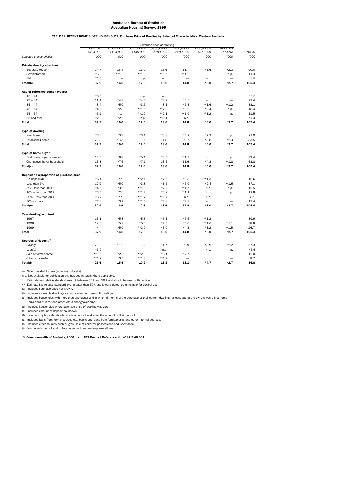TABLE 19. RECENT HOME BUYER HOUSEHOLDS: Purchase Price of Dwelling by Selected Characteristics, Western Australia

|                                           | Purchase price of dwelling |             |             |             |                          |                          |                          |          |
|-------------------------------------------|----------------------------|-------------|-------------|-------------|--------------------------|--------------------------|--------------------------|----------|
|                                           | Less than                  | $$100,000-$ | \$125,000 - | $$150,000-$ | $$200,000-$              | $$300,000 -$             | \$400,000                |          |
|                                           | \$100,000                  | \$124,999   | \$149,999   | \$199,999   | \$299,999                | \$399,999                | or more                  | Total(a) |
| Selected characteristics                  | '000                       | '000        | '000        | '000        | '000                     | '000                     | '000                     | '000     |
| <b>Private dwelling structure</b>         |                            |             |             |             |                          |                          |                          |          |
| Separate house                            | 24.7                       | 15.4        | 11.0        | 16.6        | 13.7                     | $*5.6$                   | $*2.3$                   | 90.0     |
| Semidetached                              | $*5.3$                     | $***1.2$    | $***1.3$    | $***1.5$    | $***1.2$                 | $\overline{\phantom{a}}$ | n.p.                     | 11.3     |
| Flat                                      | $*2.6$                     |             | n.p.        | n.p.        | $\overline{\phantom{0}}$ | n.p.                     |                          | $*3.8$   |
| Total(b)                                  | 32.9                       | 16.6        | 12.6        | 18.6        | 14.8                     | $*6.0$                   | $*2.7$                   | 105.4    |
| Age of reference person (years)           |                            |             |             |             |                          |                          |                          |          |
| $15 - 24$                                 | $*3.5$                     | n.p.        | n.p.        | n.p.        |                          |                          | $\overline{\phantom{0}}$ | $*5.5$   |
| $25 - 34$                                 | 11.1                       | $*4.7$      | $*4.5$      | $*4.9$      | $*3.5$                   | n.p.                     |                          | 29.4     |
| $35 - 44$                                 | 8.4                        | $*5.0$      | $*3.5$      | 8.1         | $*5.3$                   | $***1.6$                 | $***1.2$                 | 33.1     |
| $45 - 54$                                 | $*4.6$                     | $*2.8$      | $***1.5$    | $***2.0$    | $*3.6$                   | $*2.4$                   | n.p.                     | 18.4     |
| $55 - 64$                                 | $*3.1$                     | n.p.        | $***1.9$    | $***2.1$    | $***1.9$                 | $***1.2$                 | n.p.                     | 11.5     |
| 65 and over                               | $*2.3$                     | $*2.6$      | n.p.        | $***1.1$    | n.p.                     | $\overline{\phantom{0}}$ | $\overline{\phantom{0}}$ | $*7.4$   |
| <b>Total</b>                              | 32.9                       | 16.6        | 12.6        | 18.6        | 14.8                     | $*6.0$                   | $*2.7$                   | 105.4    |
| <b>Type of dwelling</b>                   |                            |             |             |             |                          |                          |                          |          |
| New home                                  | $*3.6$                     | $*3.3$      | $*3.1$      | $*3.8$      | $*5.2$                   | $*2.2$                   | n.p.                     | 21.9     |
| <b>Established home</b>                   | 29.3                       | 13.3        | 9.5         | 14.8        | 9.7                      | $*3.8$                   | $*2.3$                   | 83.5     |
| <b>Total</b>                              | 32.9                       | 16.6        | 12.6        | 18.6        | 14.8                     | $*6.0$                   | $*2.7$                   | 105.4    |
| Type of home buyer                        |                            |             |             |             |                          |                          |                          |          |
| First home buyer household                | 15.5                       | $*6.8$      | $*5.1$      | $*3.5$      | $***1.7$                 | n.p.                     | n.p.                     | 33.4     |
| Changeover buyer household                | 16.3                       | $*7.6$      | $*7.1$      | 13.5        | 11.6                     | $*4.8$                   | $***1.8$                 | 63.8     |
| Total(c)                                  | 32.9                       | 16.6        | 12.6        | 18.6        | 14.8                     | $*6.0$                   | $*2.7$                   | 105.4    |
| Deposit as a proportion of purchase price |                            |             |             |             |                          |                          |                          |          |
| No deposit(d)                             | $*6.4$                     | n.p.        | $***2.1$    | $*2.5$      | $*3.8$                   | $**1.3$                  | $\overline{\phantom{0}}$ | 16.6     |
| Less than 5%                              | 12.9                       | $*5.0$      | $*3.8$      | $*6.5$      | $*5.0$                   | $*2.4$                   | $***1.5$                 | 37.1     |
| 5% - less than 10%                        | $*4.6$                     | $*3.6$      | $***1.9$    | $*2.2$      | $***1.7$                 | n.p.                     | n.p.                     | 15.5     |
| 10% - less than 20%                       | $*3.5$                     | $*2.6$      | $***1.2$    | $*3.2$      | $***1.1$                 | n.p.                     | n.p.                     | 12.8     |
| 20% - less than 30%                       | $*3.2$                     | n.p.        | $***1.7$    | $***1.4$    | n.p.                     | n.p.                     | -                        | 8.1      |
| 30% or more                               | $*2.3$                     | $*3.9$      | $***1.6$    | $*2.8$      | $*2.3$                   | n.p.                     | $\overline{\phantom{0}}$ | 13.4     |
| Total(e)                                  | 32.9                       | 16.6        | 12.6        | 18.6        | 14.8                     | *6.0                     | $*2.7$                   | 105.4    |
| Year dwelling acquired                    |                            |             |             |             |                          |                          |                          |          |
| 1997                                      | 16.1                       | $*5.8$      | $*5.6$      | $*5.1$      | $*5.6$                   | $***1.2$                 |                          | 39.9     |
| 1998                                      | 12.5                       | $*5.7$      | $*5.0$      | $*7.5$      | $*5.0$                   | $***1.6$                 | $***1.1$                 | 38.8     |
| 1999                                      | $*4.4$                     | $*5.0$      | $**2.0$     | $*6.0$      | $*4.3$                   | $*3.2$                   | $**1.5$                  | 26.7     |
| <b>Total</b>                              | 32.9                       | 16.6        | 12.6        | 18.6        | 14.8                     | $*6.0$                   | $*2.7$                   | 105.4    |
| Sources of deposit(f)                     |                            |             |             |             |                          |                          |                          |          |
| Savings                                   | 20.2                       | 11.2        | 8.2         | 11.7        | 9.9                      | $*3.9$                   | $*2.2$                   | 67.3     |
| Loan(g)                                   | $*3.9$                     | -           |             | n.p.        |                          | n.p.                     | n.p.                     | $*5.6$   |
| Sale of former home                       | $***1.5$                   | $*2.8$      | $***2.0$    | $*3.1$      | $*2.7$                   | $\overline{\phantom{0}}$ |                          | 12.0     |
| Other sources(h)                          | $**1.9$                    | $*3.5$      | $***1.8$    | $***1.2$    | $\overline{\phantom{0}}$ | n.p.                     | $\overline{\phantom{0}}$ | 8.7      |
| Total(i)                                  | 26.6                       | 15.5        | 10.2        | 16.1        | 11.1                     | $*4.7$                   | $*2.7$                   | 86.8     |

— Nil or rounded to zero (including null cells).

n.p. Not available for publication but included in totals where applicable.<br>\* Estimate has relative standard error of between 25% and 50% and should be used with caution.<br>\*\* Estimate has relative standard error greate

(a) Includes purchase price not known. (b) Includes moveable dwellings and improvised or makeshift dwellings.

(c) Includes households with more than one owner and in which (in terms of the purchase of their current dwelling) at least one of the owners was a first home

buyer and at least one other was a changeover buyer.

(d) Includes households where purchase price of dwelling was zero.

(e) Includes amount of deposit not known.

(f) Includes only households who made a deposit and knew the amount of their deposit.

(g) Includes loans from formal sources e.g. banks and loans from family/friends and other informal sources.

(h) Includes other sources such as gifts, sale of car/other possessions and inheritance.

(i) Components do not add to total as more than one response allowed.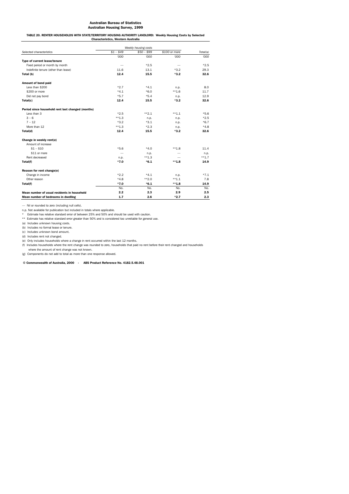TABLE 20. RENTER HOUSEHOLDS WITH STATE/TERRITORY HOUSING AUTHORITY LANDLORD: Weekly Housing Costs by Selected Characteristics, Western Australia

|                                                   | Weekly housing costs |             |               |          |  |  |  |
|---------------------------------------------------|----------------------|-------------|---------------|----------|--|--|--|
| Selected characteristics                          | $$1 - $49$           | $$50 - $99$ | \$100 or more | Total(a) |  |  |  |
|                                                   | '000                 | '000        | '000          | '000     |  |  |  |
| Type of current lease/tenure                      |                      |             |               |          |  |  |  |
| Fixed period or month by month                    |                      | $*2.5$      |               | $*2.5$   |  |  |  |
| Indefinite tenure (other than lease)              | 11.6                 | 13.1        | $*3.2$        | 29.3     |  |  |  |
| Total (b)                                         | 12.4                 | 15.5        | $*3.2$        | 32.6     |  |  |  |
| Amount of bond paid                               |                      |             |               |          |  |  |  |
| Less than \$200                                   | $*2.7$               | $*4.1$      | n.p.          | 8.0      |  |  |  |
| \$200 or more                                     | $*4.1$               | $*6.0$      | $***1.6$      | 11.7     |  |  |  |
| Did not pay bond                                  | $*5.7$               | $*5.4$      | n.p.          | 12.9     |  |  |  |
| Total(c)                                          | 12.4                 | 15.5        | $*3.2$        | 32.6     |  |  |  |
| Period since household rent last changed (months) |                      |             |               |          |  |  |  |
| Less than 3                                       | $*2.5$               | $***2.1$    | $***1.1$      | $*5.6$   |  |  |  |
| $3 - 6$                                           | $***1.3$             | n.p.        | n.p.          | $*2.5$   |  |  |  |
| $7 - 12$                                          | $*3.2$               | $*3.1$      | n.p.          | $*6.7$   |  |  |  |
| More than 12                                      | $***1.3$             | $*2.3$      | n.p.          | $*4.8$   |  |  |  |
| Total(d)                                          | 12.4                 | 15.5        | $*3.2$        | 32.6     |  |  |  |
| Change in weekly rent(e)                          |                      |             |               |          |  |  |  |
| Amount of increase                                |                      |             |               |          |  |  |  |
| $$1 - $10$                                        | $*5.6$               | $*4.0$      | $**1.8$       | 11.4     |  |  |  |
| \$11 or more                                      |                      | n.p.        |               | n.p.     |  |  |  |
| Rent decreased                                    | n.p.                 | $***1.3$    |               | $***1.7$ |  |  |  |
| Total(f)                                          | $*7.0$               | $*6.1$      | $***1.8$      | 14.9     |  |  |  |
| Reason for rent change(e)                         |                      |             |               |          |  |  |  |
| Change in income                                  | $*2.2$               | $*4.1$      | n.p.          | $*7.1$   |  |  |  |
| Other reason                                      | $*4.8$               | $***2.0$    | $***1.1$      | 7.8      |  |  |  |
| Total(f)                                          | $*7.0$               | $*6.1$      | $***1.8$      | 14.9     |  |  |  |
|                                                   | No.                  | No.         | No.           | No.      |  |  |  |
| Mean number of usual residents in household       | 2.2                  | 2.3         | 2.9           | 2.5      |  |  |  |
| Mean number of bedrooms in dwelling               | 1.7                  | 2.6         | $*2.7$        | 2.3      |  |  |  |

— Nil or rounded to zero (including null cells).

n.p. Not available for publication but included in totals where applicable.

\* Estimate has relative standard error of between 25% and 50% and should be used with caution. \*\* Estimate has relative standard error greater than 50% and is considered too unreliable for general use.

(a) Includes unknown housing costs.

(b) Includes no formal lease or tenure.

(c) Includes unknown bond amount.

(d) Includes rent not changed. (e) Only includes households where a change in rent occurred within the last 12 months.

(f) Includes households where the rent change was rounded to zero, households that paid no rent before their rent changed and households

where the amount of rent change was not known. (g) Components do not add to total as more than one response allowed.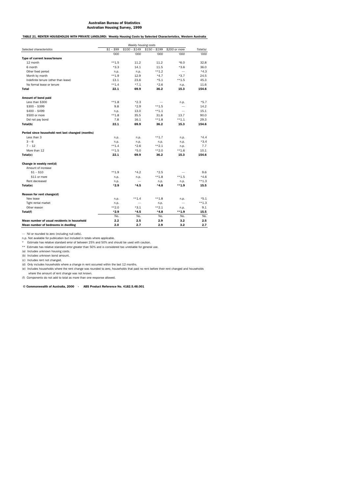TABLE 21. RENTER HOUSEHOLDS WITH PRIVATE LANDLORD: Weekly Housing Costs by Selected Characteristics, Western Australia

|                                                   | Weekly housing costs |                          |               |               |          |  |  |
|---------------------------------------------------|----------------------|--------------------------|---------------|---------------|----------|--|--|
| Selected characteristics                          | $$1 - $99$           | $$100 - $149$            | $$150 - $199$ | \$200 or more | Total(a) |  |  |
|                                                   | '000                 | '000                     | '000          | '000          | '000     |  |  |
| Type of current lease/tenure                      |                      |                          |               |               |          |  |  |
| 12 month                                          | $**1.5$              | 11.2                     | 11.2          | $*6.0$        | 32.8     |  |  |
| 6 month                                           | $*3.3$               | 14.1                     | 11.5          | $*3.6$        | 36.0     |  |  |
| Other fixed period                                | n.p.                 | n.p.                     | $***1.2$      |               | $*4.3$   |  |  |
| Month by month                                    | $***1.9$             | 12.9                     | $*4.7$        | $*3.7$        | 24.5     |  |  |
| Indefinite tenure (other than lease)              | 13.1                 | 23.6                     | $*5.1$        | $***1.5$      | 45.3     |  |  |
| No formal lease or tenure                         | $***1.4$             | $*7.1$                   | $*2.6$        | n.p.          | 11.6     |  |  |
| <b>Total</b>                                      | 22.1                 | 69.9                     | 36.2          | 15.3          | 154.6    |  |  |
| Amount of bond paid                               |                      |                          |               |               |          |  |  |
| Less than \$300                                   | $***1.8$             | $*2.3$                   |               | n.p.          | $*5.7$   |  |  |
| $$300 - $399$                                     | 9.8                  | $*2.9$                   | $***1.5$      |               | 14.2     |  |  |
| $$400 - $499$                                     | n.p.                 | 13.0                     | $***1.1$      |               | 15.1     |  |  |
| \$500 or more                                     | $***1.8$             | 35.5                     | 31.8          | 13.7          | 90.0     |  |  |
| Did not pay bond                                  | 7.8                  | 16.1                     | $***1.8$      | $***1.1$      | 29.3     |  |  |
| Total(b)                                          | 22.1                 | 69.9                     | 36.2          | 15.3          | 154.6    |  |  |
| Period since household rent last changed (months) |                      |                          |               |               |          |  |  |
| Less than 3                                       | n.p.                 | n.p.                     | $***1.7$      | n.p.          | $*4.4$   |  |  |
| $3 - 6$                                           | n.p.                 | n.p.                     | n.p.          | n.p.          | $*3.4$   |  |  |
| $7 - 12$                                          | $***1.4$             | $*2.6$                   | $**2.1$       | n.p.          | 7.7      |  |  |
| More than 12                                      | $***1.5$             | $*5.0$                   | $***2.0$      | $***1.6$      | 10.1     |  |  |
| Total(c)                                          | 22.1                 | 69.9                     | 36.2          | 15.3          | 154.6    |  |  |
| Change in weekly rent(d)                          |                      |                          |               |               |          |  |  |
| Amount of increase                                |                      |                          |               |               |          |  |  |
| $$1 - $10$                                        | $***1.9$             | $*4.2$                   | $*2.5$        |               | 9.6      |  |  |
| \$11 or more                                      | n.p.                 | n.p.                     | $***1.8$      | $***1.5$      | $*4.6$   |  |  |
| Rent decreased                                    | n.p.                 | $\overline{\phantom{0}}$ | n.p.          | n.p.          | $**1.3$  |  |  |
| Total(e)                                          | $*2.9$               | $*4.5$                   | $*4.8$        | $***1.9$      | 15.5     |  |  |
| Reason for rent change(d)                         |                      |                          |               |               |          |  |  |
| New lease                                         | n.p.                 | $***1.4$                 | $***1.8$      | n.p.          | $*5.1$   |  |  |
| Tight rental market                               | n.p.                 |                          | n.p.          |               | $**1.3$  |  |  |
| Other reason                                      | $***2.0$             | $*3.1$                   | $*2.1$        | n.p.          | 9.1      |  |  |
| Total(f)                                          | $*2.9$               | $*4.5$                   | $*4.8$        | $***1.9$      | 15.5     |  |  |
|                                                   | No.                  | No.                      | No.           | No.           | No.      |  |  |
| Mean number of usual residents in household       | 2.2                  | 2.5                      | 2.9           | 3.2           | 2.5      |  |  |
| Mean number of bedrooms in dwelling               | 2.0                  | 2.7                      | 2.9           | 3.2           | 2.7      |  |  |

— Nil or rounded to zero (including null cells).

n.p. Not available for publication but included in totals where applicable.<br>\* Estimate has relative standard error of between 25% and 50% and should be used with caution.<br>\*\* Estimate has relative standard error greate

(a) Includes unknown housing costs. (b) Includes unknown bond amount.

(c) Includes rent not changed.

(d) Only includes households where a change in rent occurred within the last 12 months. (e) Includes households where the rent change was rounded to zero, households that paid no rent before their rent changed and households

where the amount of rent change was not known.

(f) Components do not add to total as more than one response allowed.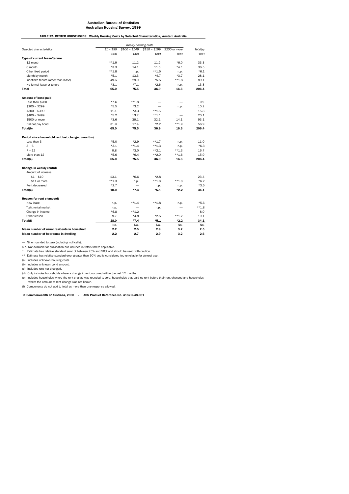TABLE 22. RENTER HOUSEHOLDS: Weekly Housing Costs by Selected Characteristics, Western Australia

|                                                   | Weekly housing costs |               |                          |                          |          |  |  |
|---------------------------------------------------|----------------------|---------------|--------------------------|--------------------------|----------|--|--|
| Selected characteristics                          | $$1 - $99$           | $$100 - $149$ | $$150 - $199$            | \$200 or more            | Total(a) |  |  |
|                                                   | '000                 | '000          | '000                     | '000                     | '000     |  |  |
| Type of current lease/tenure                      |                      |               |                          |                          |          |  |  |
| 12 month                                          | $***1.9$             | 11.2          | 11.2                     | $*6.0$                   | 33.3     |  |  |
| 6 month                                           | $*3.3$               | 14.1          | 11.5                     | $*4.1$                   | 36.5     |  |  |
| Other fixed period                                | $**1.8$              | n.p.          | $***1.5$                 | n.p.                     | $*6.1$   |  |  |
| Month by month                                    | $*5.1$               | 13.3          | $*4.7$                   | $*3.7$                   | 28.1     |  |  |
| Indefinite tenure (other than lease)              | 49.6                 | 29.0          | $*5.5$                   | $**1.8$                  | 89.1     |  |  |
| No formal lease or tenure                         | $*3.1$               | $*7.1$        | $*2.6$                   | n.p.                     | 13.3     |  |  |
| <b>Total</b>                                      | 65.0                 | 75.5          | 36.9                     | 16.6                     | 206.4    |  |  |
| Amount of bond paid                               |                      |               |                          |                          |          |  |  |
| Less than \$200                                   | $*7.6$               | $**1.8$       |                          |                          | 9.9      |  |  |
| $$200 - $299$                                     | $*5.5$               | $*3.2$        |                          | n.p.                     | 10.2     |  |  |
| $$300 - $399$                                     | 11.1                 | $*3.3$        | $***1.5$                 | $\overline{\phantom{0}}$ | 15.8     |  |  |
| $$400 - $499$                                     | $*5.2$               | 13.7          | $***1.1$                 |                          | 20.1     |  |  |
| \$500 or more                                     | $*3.6$               | 36.1          | 32.1                     | 14.1                     | 93.1     |  |  |
| Did not pay bond                                  | 31.9                 | 17.4          | $*2.2$                   | $***1.9$                 | 56.9     |  |  |
| Total(b)                                          | 65.0                 | 75.5          | 36.9                     | 16.6                     | 206.4    |  |  |
| Period since household rent last changed (months) |                      |               |                          |                          |          |  |  |
| Less than 3                                       | $*5.0$               | $*2.9$        | $***1.7$                 | n.p.                     | 11.0     |  |  |
| $3 - 6$                                           | $*3.1$               | $**1.4$       | $***1.3$                 | n.p.                     | $*6.3$   |  |  |
| $7 - 12$                                          | 9.8                  | $*3.0$        | $***2.1$                 | $**1.3$                  | 16.7     |  |  |
| More than 12                                      | $*5.6$               | $*6.4$        | $***2.0$                 | $***1.6$                 | 15.9     |  |  |
| Total(c)                                          | 65.0                 | 75.5          | 36.9                     | 16.6                     | 206.4    |  |  |
| Change in weekly rent(d)                          |                      |               |                          |                          |          |  |  |
| Amount of increase                                |                      |               |                          |                          |          |  |  |
| $$1 - $10$                                        | 13.1                 | $*6.6$        | $*2.8$                   |                          | 23.4     |  |  |
| \$11 or more                                      | $**1.3$              | n.p.          | $***1.8$                 | $***1.8$                 | $*6.2$   |  |  |
| Rent decreased                                    | $*2.7$               |               | n.p.                     | n.p.                     | $*3.5$   |  |  |
| Total(e)                                          | 18.0                 | $*7.4$        | $*5.1$                   | $*2.2$                   | 34.1     |  |  |
| Reason for rent change(d)                         |                      |               |                          |                          |          |  |  |
| New lease                                         | n.p.                 | $***1.4$      | $***1.8$                 | n.p.                     | $*5.6$   |  |  |
| Tight rental market                               | n.p.                 |               | n.p.                     |                          | $**1.8$  |  |  |
| Change in income                                  | $*6.8$               | $***1.2$      | $\overline{\phantom{0}}$ |                          | 8.0      |  |  |
| Other reason                                      | 9.7                  | $*4.8$        | $*2.5$                   | $***1.2$                 | 19.1     |  |  |
| Total(f)                                          | 18.0                 | $*7.4$        | $*5.1$                   | $*2.2$                   | 34.1     |  |  |
|                                                   | No.                  | No.           | No.                      | No.                      | No.      |  |  |
| Mean number of usual residents in household       | 2.2                  | 2.5           | 2.9                      | 3.2                      | 2.5      |  |  |
| Mean number of bedrooms in dwelling               | 2.2                  | 2.7           | 2.9                      | 3.2                      | 2.6      |  |  |

— Nil or rounded to zero (including null cells).

n.p. Not available for publication but included in totals where applicable.

\* Estimate has relative standard error of between 25% and 50% and should be used with caution. \*\* Estimate has relative standard error greater than 50% and is considered too unreliable for general use.

(a) Includes unknown housing costs.

(b) Includes unknown bond amount. (c) Includes rent not changed.

(d) Only includes households where a change in rent occurred within the last 12 months.

(e) Includes households where the rent change was rounded to zero, households that paid no rent before their rent changed and households where the amount of rent change was not known.

(f) Components do not add to total as more than one response allowed.